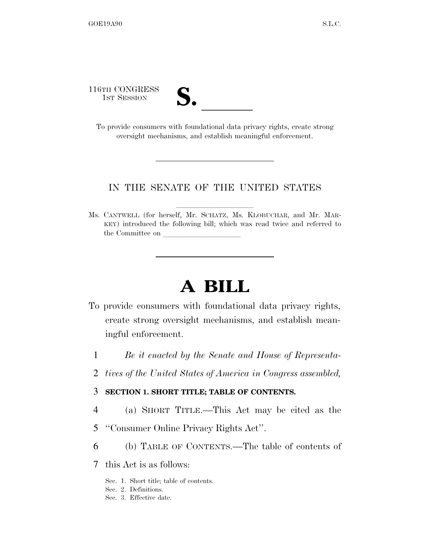116TH CONGRESS **S. laterally** 

| ∕•<br>I<br>◣ |  |
|--------------|--|
|              |  |
|              |  |

To provide consumers with foundational data privacy rights, create strong oversight mechanisms, and establish meaningful enforcement.

### IN THE SENATE OF THE UNITED STATES

llllllllll

Ms. CANTWELL (for herself, Mr. SCHATZ, Ms. KLOBUCHAR, and Mr. MAR-KEY) introduced the following bill; which was read twice and referred to the Committee on

# **A BILL**

- To provide consumers with foundational data privacy rights, create strong oversight mechanisms, and establish meaningful enforcement.
	- 1 *Be it enacted by the Senate and House of Representa-*
	- 2 *tives of the United States of America in Congress assembled,*

### 3 **SECTION 1. SHORT TITLE; TABLE OF CONTENTS.**

- 4 (a) SHORT TITLE.—This Act may be cited as the
- 5 ''Consumer Online Privacy Rights Act''.
- 6 (b) TABLE OF CONTENTS.—The table of contents of
- 7 this Act is as follows:
	- Sec. 1. Short title; table of contents.
	- Sec. 2. Definitions.
	- Sec. 3. Effective date.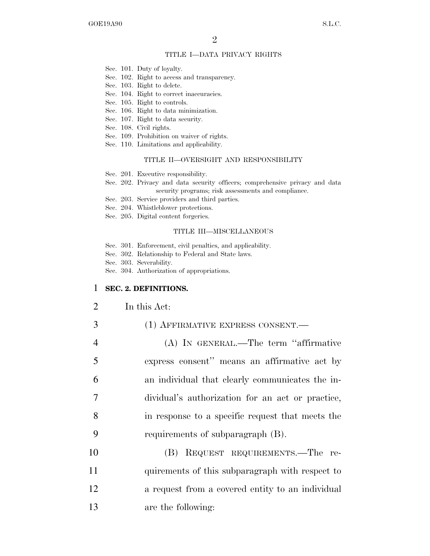### TITLE I—DATA PRIVACY RIGHTS

- Sec. 101. Duty of loyalty.
- Sec. 102. Right to access and transparency.
- Sec. 103. Right to delete.
- Sec. 104. Right to correct inaccuracies.
- Sec. 105. Right to controls.
- Sec. 106. Right to data minimization.
- Sec. 107. Right to data security.
- Sec. 108. Civil rights.
- Sec. 109. Prohibition on waiver of rights.
- Sec. 110. Limitations and applicability.

### TITLE II—OVERSIGHT AND RESPONSIBILITY

- Sec. 201. Executive responsibility.
- Sec. 202. Privacy and data security officers; comprehensive privacy and data security programs; risk assessments and compliance.
- Sec. 203. Service providers and third parties.
- Sec. 204. Whistleblower protections.
- Sec. 205. Digital content forgeries.

#### TITLE III—MISCELLANEOUS

- Sec. 301. Enforcement, civil penalties, and applicability.
- Sec. 302. Relationship to Federal and State laws.
- Sec. 303. Severability.
- Sec. 304. Authorization of appropriations.

### 1 **SEC. 2. DEFINITIONS.**

- 2 In this Act:
- 3 (1) AFFIRMATIVE EXPRESS CONSENT.
- 4 (A) IN GENERAL.—The term ''affirmative 5 express consent'' means an affirmative act by 6 an individual that clearly communicates the in-7 dividual's authorization for an act or practice, 8 in response to a specific request that meets the 9 requirements of subparagraph (B).
- 10 (B) REQUEST REQUIREMENTS.—The re-11 quirements of this subparagraph with respect to 12 a request from a covered entity to an individual 13 are the following: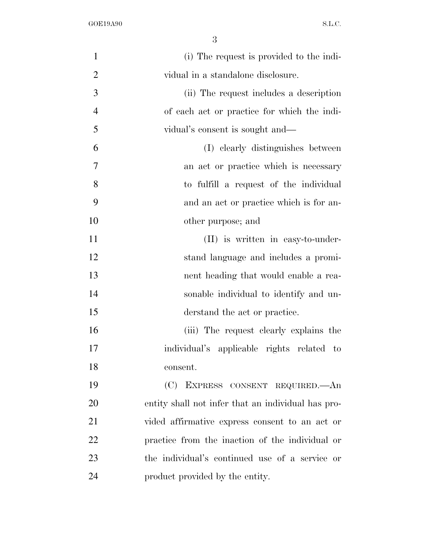| $\mathbf{1}$   | (i) The request is provided to the indi-           |
|----------------|----------------------------------------------------|
| $\overline{2}$ | vidual in a standalone disclosure.                 |
| 3              | (ii) The request includes a description            |
| $\overline{4}$ | of each act or practice for which the indi-        |
| 5              | vidual's consent is sought and—                    |
| 6              | (I) clearly distinguishes between                  |
| 7              | an act or practice which is necessary              |
| 8              | to fulfill a request of the individual             |
| 9              | and an act or practice which is for an-            |
| 10             | other purpose; and                                 |
| 11             | (II) is written in easy-to-under-                  |
| 12             | stand language and includes a promi-               |
| 13             | nent heading that would enable a rea-              |
| 14             | sonable individual to identify and un-             |
| 15             | derstand the act or practice.                      |
| 16             | (iii) The request clearly explains the             |
| 17             | individual's applicable rights related to          |
| 18             | consent.                                           |
| 19             | (C) EXPRESS CONSENT REQUIRED. An                   |
| 20             | entity shall not infer that an individual has pro- |
| 21             | vided affirmative express consent to an act or     |
| 22             | practice from the inaction of the individual or    |
| 23             | the individual's continued use of a service or     |
| 24             | product provided by the entity.                    |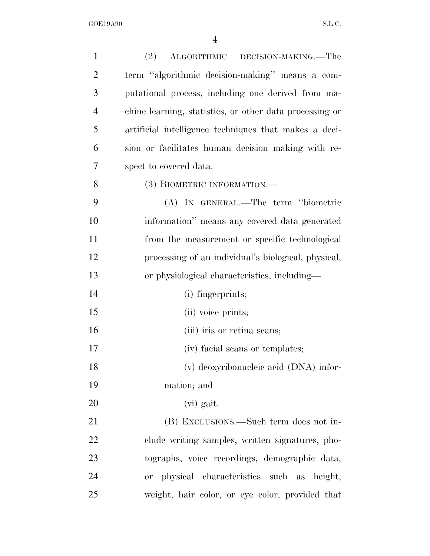| $\mathbf{1}$   | (2)<br>ALGORITHMIC DECISION-MAKING.—The                 |
|----------------|---------------------------------------------------------|
| $\overline{2}$ | term "algorithmic decision-making" means a com-         |
| 3              | putational process, including one derived from ma-      |
| $\overline{4}$ | chine learning, statistics, or other data processing or |
| 5              | artificial intelligence techniques that makes a deci-   |
| 6              | sion or facilitates human decision making with re-      |
| 7              | spect to covered data.                                  |
| 8              | (3) BIOMETRIC INFORMATION.—                             |
| 9              | (A) IN GENERAL.—The term "biometric                     |
| 10             | information" means any covered data generated           |
| 11             | from the measurement or specific technological          |
| 12             | processing of an individual's biological, physical,     |
| 13             | or physiological characteristics, including—            |
| 14             | (i) fingerprints;                                       |
| 15             | (ii) voice prints;                                      |
| 16             | (iii) iris or retina scans;                             |
| 17             | (iv) facial scans or templates;                         |
| 18             | (v) deoxyribonucleic acid (DNA) infor-                  |
| 19             | mation; and                                             |
| 20             | (vi) gait.                                              |
| 21             | (B) EXCLUSIONS.—Such term does not in-                  |
| 22             | clude writing samples, written signatures, pho-         |
| 23             | tographic data, voice recordings, demographic data,     |
| 24             | or physical characteristics such as height,             |
| 25             | weight, hair color, or eye color, provided that         |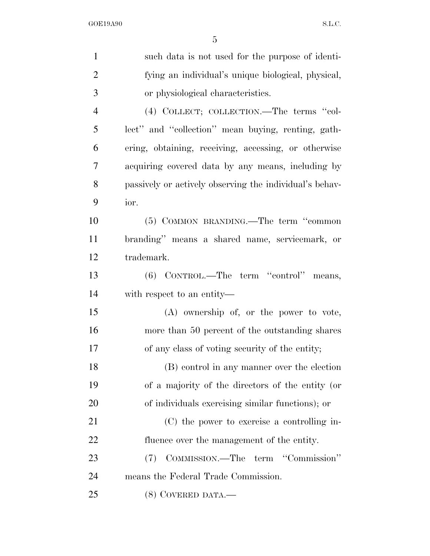| $\mathbf{1}$   | such data is not used for the purpose of identi-        |
|----------------|---------------------------------------------------------|
| $\overline{2}$ | fying an individual's unique biological, physical,      |
| 3              | or physiological characteristics.                       |
| $\overline{4}$ | (4) COLLECT; COLLECTION.—The terms "col-                |
| 5              | lect" and "collection" mean buying, renting, gath-      |
| 6              | ering, obtaining, receiving, accessing, or otherwise    |
| 7              | acquiring covered data by any means, including by       |
| 8              | passively or actively observing the individual's behav- |
| 9              | ior.                                                    |
| 10             | (5) COMMON BRANDING.—The term "common                   |
| 11             | branding" means a shared name, servicemark, or          |
| 12             | trademark.                                              |
| 13             | (6) CONTROL.—The term "control" means,                  |
| 14             | with respect to an entity—                              |
| 15             | (A) ownership of, or the power to vote,                 |
| 16             | more than 50 percent of the outstanding shares          |
| 17             | of any class of voting security of the entity;          |
| 18             | (B) control in any manner over the election             |
| 19             | of a majority of the directors of the entity (or        |
| 20             | of individuals exercising similar functions); or        |
| 21             | (C) the power to exercise a controlling in-             |
| 22             | fluence over the management of the entity.              |
| 23             | COMMISSION.—The term "Commission"<br>(7)                |
| 24             | means the Federal Trade Commission.                     |
| 25             | $(8)$ COVERED DATA.—                                    |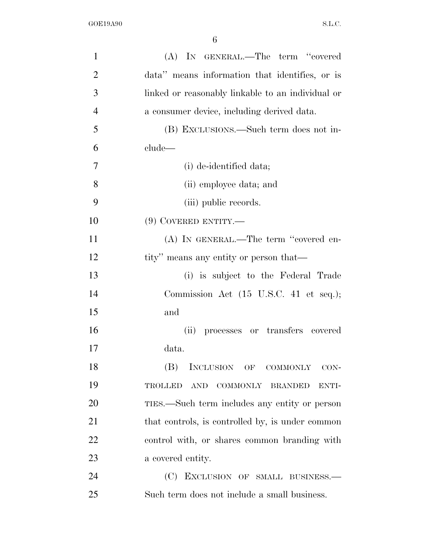| $\mathbf{1}$   | (A) IN GENERAL.—The term "covered                         |
|----------------|-----------------------------------------------------------|
| $\overline{2}$ | data" means information that identifies, or is            |
| 3              | linked or reasonably linkable to an individual or         |
| $\overline{4}$ | a consumer device, including derived data.                |
| 5              | (B) EXCLUSIONS.—Such term does not in-                    |
| 6              | clude-                                                    |
| 7              | (i) de-identified data;                                   |
| 8              | (ii) employee data; and                                   |
| 9              | (iii) public records.                                     |
| 10             | $(9)$ COVERED ENTITY.—                                    |
| 11             | (A) IN GENERAL.—The term "covered en-                     |
| 12             | tity" means any entity or person that—                    |
| 13             | (i) is subject to the Federal Trade                       |
| 14             | Commission Act (15 U.S.C. 41 et seq.);                    |
| 15             | and                                                       |
| 16             | (ii)<br>processes or transfers covered                    |
| 17             | data.                                                     |
| 18             | (B)<br>INCLUSION OF<br><b>COMMONLY</b><br>CON-            |
| 19             | <b>TROLLED</b><br><b>AND</b><br>COMMONLY BRANDED<br>ENTI- |
| 20             | TIES.—Such term includes any entity or person             |
| 21             | that controls, is controlled by, is under common          |
| 22             | control with, or shares common branding with              |
| 23             | a covered entity.                                         |
| 24             | (C) EXCLUSION OF SMALL BUSINESS.-                         |
| 25             | Such term does not include a small business.              |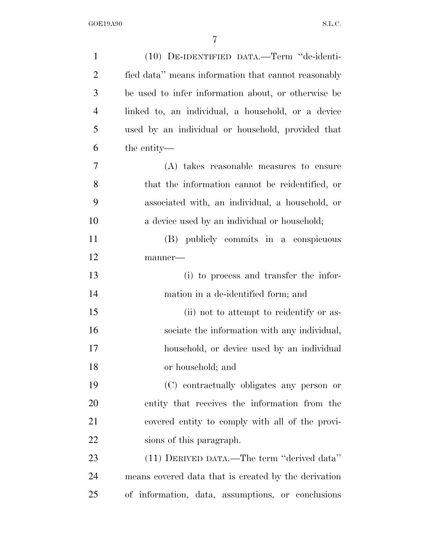| $\mathbf{1}$   | (10) DE-IDENTIFIED DATA.—Term "de-identi-            |
|----------------|------------------------------------------------------|
| $\overline{2}$ | fied data" means information that cannot reasonably  |
| 3              | be used to infer information about, or otherwise be  |
| $\overline{4}$ | linked to, an individual, a household, or a device   |
| 5              | used by an individual or household, provided that    |
| 6              | the entity—                                          |
| 7              | (A) takes reasonable measures to ensure              |
| 8              | that the information cannot be reidentified, or      |
| 9              | associated with, an individual, a household, or      |
| 10             | a device used by an individual or household;         |
| 11             | (B) publicly commits in a conspicuous                |
| 12             | manner-                                              |
| 13             | (i) to process and transfer the infor-               |
| 14             | mation in a de-identified form; and                  |
| 15             | (ii) not to attempt to reidentify or as-             |
| 16             | sociate the information with any individual,         |
| 17             | household, or device used by an individual           |
| 18             | or household; and                                    |
| 19             | (C) contractually obligates any person or            |
| 20             | entity that receives the information from the        |
| 21             | covered entity to comply with all of the provi-      |
| 22             | sions of this paragraph.                             |
| 23             | (11) DERIVED DATA.—The term "derived data"           |
| 24             | means covered data that is created by the derivation |
| 25             | of information, data, assumptions, or conclusions    |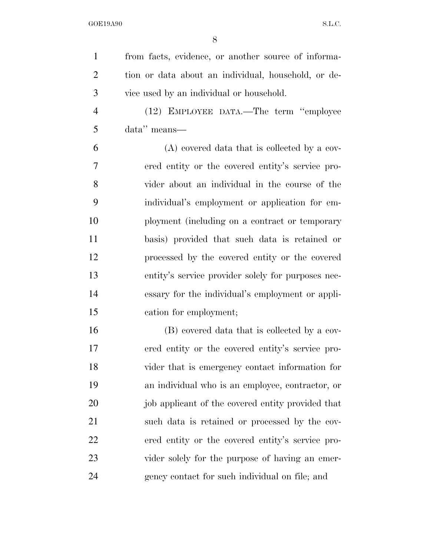| $\mathbf{1}$   | from facts, evidence, or another source of informa- |
|----------------|-----------------------------------------------------|
| $\overline{2}$ | tion or data about an individual, household, or de- |
| 3              | vice used by an individual or household.            |
| $\overline{4}$ | (12) EMPLOYEE DATA.—The term "employee              |
| 5              | data" means—                                        |
| 6              | (A) covered data that is collected by a cov-        |
| $\overline{7}$ | ered entity or the covered entity's service pro-    |
| 8              | vider about an individual in the course of the      |
| 9              | individual's employment or application for em-      |
| 10             | ployment (including on a contract or temporary      |
| 11             | basis) provided that such data is retained or       |
| 12             | processed by the covered entity or the covered      |
| 13             | entity's service provider solely for purposes nec-  |
| 14             | essary for the individual's employment or appli-    |
| 15             | cation for employment;                              |
| 16             | (B) covered data that is collected by a cov-        |
| 17             | ered entity or the covered entity's service pro-    |
| 18             | vider that is emergency contact information for     |
| 19             | an individual who is an employee, contractor, or    |
| 20             | job applicant of the covered entity provided that   |
| 21             | such data is retained or processed by the cov-      |
| 22             | ered entity or the covered entity's service pro-    |
| 23             | vider solely for the purpose of having an emer-     |
| 24             | gency contact for such individual on file; and      |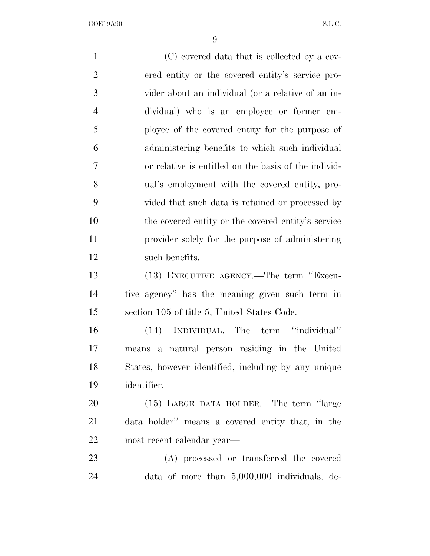(C) covered data that is collected by a cov- ered entity or the covered entity's service pro- vider about an individual (or a relative of an in- dividual) who is an employee or former em- ployee of the covered entity for the purpose of administering benefits to which such individual or relative is entitled on the basis of the individ- ual's employment with the covered entity, pro- vided that such data is retained or processed by the covered entity or the covered entity's service provider solely for the purpose of administering such benefits. (13) EXECUTIVE AGENCY.—The term ''Execu- tive agency'' has the meaning given such term in section 105 of title 5, United States Code. (14) INDIVIDUAL.—The term ''individual'' means a natural person residing in the United States, however identified, including by any unique identifier. (15) LARGE DATA HOLDER.—The term ''large data holder'' means a covered entity that, in the most recent calendar year— (A) processed or transferred the covered data of more than 5,000,000 individuals, de-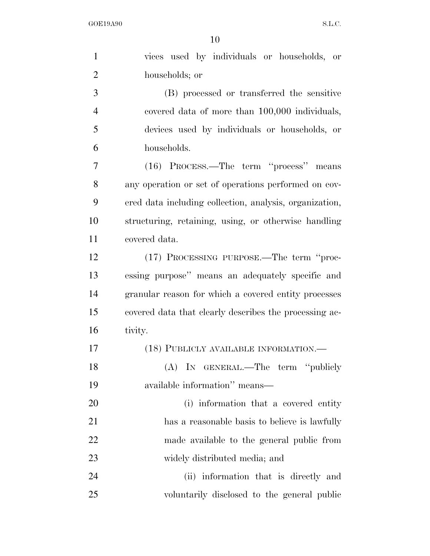| $\mathbf{1}$   | vices used by individuals or households, or             |
|----------------|---------------------------------------------------------|
| $\overline{2}$ | households; or                                          |
| 3              | (B) processed or transferred the sensitive              |
| $\overline{4}$ | covered data of more than 100,000 individuals,          |
| 5              | devices used by individuals or households, or           |
| 6              | households.                                             |
| 7              | (16) PROCESS.—The term "process" means                  |
| 8              | any operation or set of operations performed on cov-    |
| 9              | ered data including collection, analysis, organization, |
| 10             | structuring, retaining, using, or otherwise handling    |
| 11             | covered data.                                           |
| 12             | (17) PROCESSING PURPOSE.—The term "proc-                |
| 13             | essing purpose" means an adequately specific and        |
| 14             | granular reason for which a covered entity processes    |
| 15             | covered data that clearly describes the processing ac-  |
| 16             | tivity.                                                 |
| 17             | (18) PUBLICLY AVAILABLE INFORMATION.-                   |
| 18             | (A) IN GENERAL.—The term "publicly                      |
| 19             | available information" means-                           |
| 20             | (i) information that a covered entity                   |
| 21             | has a reasonable basis to believe is lawfully           |
| 22             | made available to the general public from               |
| 23             | widely distributed media; and                           |
| 24             | (ii) information that is directly and                   |
| 25             | voluntarily disclosed to the general public             |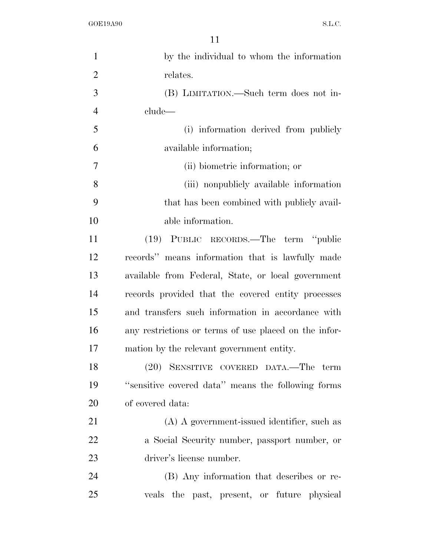| $\mathbf{1}$   | by the individual to whom the information             |
|----------------|-------------------------------------------------------|
| $\overline{2}$ | relates.                                              |
| 3              | (B) LIMITATION.—Such term does not in-                |
| $\overline{4}$ | clude—                                                |
| 5              | (i) information derived from publicly                 |
| 6              | available information;                                |
| 7              | (ii) biometric information; or                        |
| 8              | (iii) nonpublicly available information               |
| 9              | that has been combined with publicly avail-           |
| 10             | able information.                                     |
| 11             | (19) PUBLIC RECORDS.—The term "public                 |
| 12             | records" means information that is lawfully made      |
| 13             | available from Federal, State, or local government    |
| 14             | records provided that the covered entity processes    |
| 15             | and transfers such information in accordance with     |
| 16             | any restrictions or terms of use placed on the infor- |
| 17             | mation by the relevant government entity.             |
| 18             | (20) SENSITIVE COVERED DATA.-The term                 |
| 19             | "sensitive covered data" means the following forms    |
| 20             | of covered data:                                      |
| 21             | (A) A government-issued identifier, such as           |
| 22             | a Social Security number, passport number, or         |
| 23             | driver's license number.                              |
| 24             | (B) Any information that describes or re-             |
| 25             | veals the past, present, or future physical           |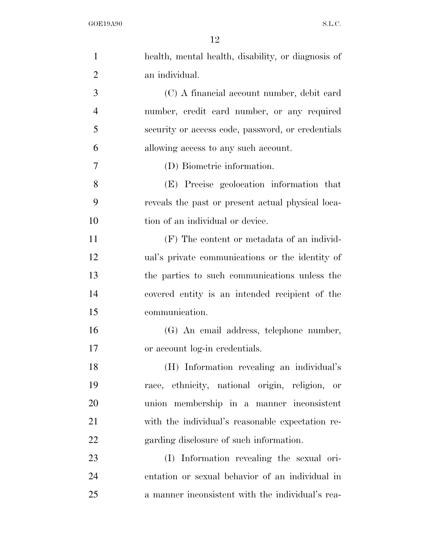| $\mathbf{1}$   | health, mental health, disability, or diagnosis of |
|----------------|----------------------------------------------------|
| $\overline{2}$ | an individual.                                     |
| 3              | (C) A financial account number, debit card         |
| $\overline{4}$ | number, credit card number, or any required        |
| 5              | security or access code, password, or credentials  |
| 6              | allowing access to any such account.               |
| 7              | (D) Biometric information.                         |
| 8              | (E) Precise geolocation information that           |
| 9              | reveals the past or present actual physical loca-  |
| 10             | tion of an individual or device.                   |
| 11             | $(F)$ The content or metadata of an individ-       |
| 12             | ual's private communications or the identity of    |
| 13             | the parties to such communications unless the      |
| 14             | covered entity is an intended recipient of the     |
| 15             | communication.                                     |
| 16             | (G) An email address, telephone number,            |
| 17             | or account log-in credentials.                     |
| 18             | (H) Information revealing an individual's          |
| 19             | race, ethnicity, national origin, religion, or     |
| 20             | union membership in a manner inconsistent          |
| 21             | with the individual's reasonable expectation re-   |
| 22             | garding disclosure of such information.            |
| 23             | (I) Information revealing the sexual ori-          |
| 24             | entation or sexual behavior of an individual in    |
| 25             | a manner inconsistent with the individual's rea-   |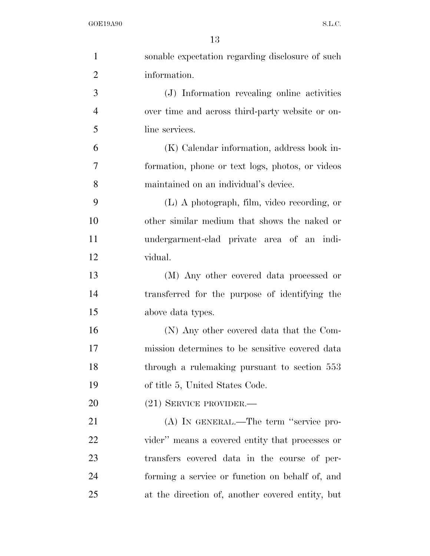| $\mathbf{1}$   | sonable expectation regarding disclosure of such |
|----------------|--------------------------------------------------|
| $\overline{2}$ | information.                                     |
| 3              | (J) Information revealing online activities      |
| $\overline{4}$ | over time and across third-party website or on-  |
| 5              | line services.                                   |
| 6              | (K) Calendar information, address book in-       |
| $\overline{7}$ | formation, phone or text logs, photos, or videos |
| 8              | maintained on an individual's device.            |
| 9              | (L) A photograph, film, video recording, or      |
| 10             | other similar medium that shows the naked or     |
| 11             | undergarment-clad private area of an indi-       |
| 12             | vidual.                                          |
| 13             | (M) Any other covered data processed or          |
| 14             | transferred for the purpose of identifying the   |
| 15             | above data types.                                |
| 16             | (N) Any other covered data that the Com-         |
| 17             | mission determines to be sensitive covered data  |
| 18             | through a rulemaking pursuant to section 553     |
| 19             | of title 5, United States Code.                  |
| 20             | $(21)$ SERVICE PROVIDER.—                        |
| 21             | (A) IN GENERAL.—The term "service pro-           |
| 22             | vider" means a covered entity that processes or  |
| 23             | transfers covered data in the course of per-     |
| 24             | forming a service or function on behalf of, and  |
| 25             | at the direction of, another covered entity, but |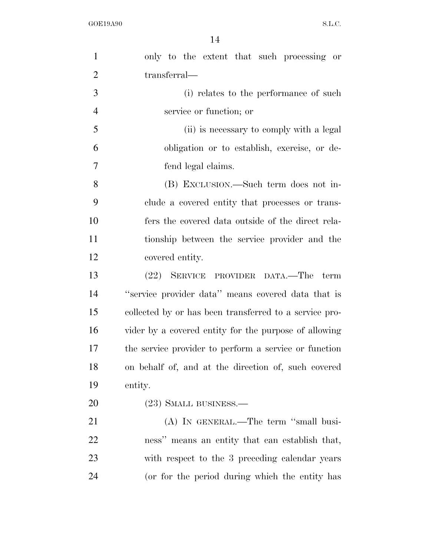| $\mathbf{1}$   | only to the extent that such processing or             |
|----------------|--------------------------------------------------------|
| $\overline{2}$ | transferral—                                           |
| 3              | (i) relates to the performance of such                 |
| $\overline{4}$ | service or function; or                                |
| 5              | (ii) is necessary to comply with a legal               |
| 6              | obligation or to establish, exercise, or de-           |
| 7              | fend legal claims.                                     |
| 8              | (B) EXCLUSION.—Such term does not in-                  |
| 9              | clude a covered entity that processes or trans-        |
| 10             | fers the covered data outside of the direct rela-      |
| 11             | tionship between the service provider and the          |
| 12             | covered entity.                                        |
| 13             | (22) SERVICE PROVIDER DATA.—The term                   |
| 14             | "service provider data" means covered data that is     |
| 15             | collected by or has been transferred to a service pro- |
| 16             | vider by a covered entity for the purpose of allowing  |
| 17             | the service provider to perform a service or function  |
| 18             | on behalf of, and at the direction of, such covered    |
| 19             | entity.                                                |
| 20             | (23) SMALL BUSINESS.—                                  |
| 21             | (A) IN GENERAL.—The term "small busi-                  |
| 22             | ness" means an entity that can establish that,         |
| 23             | with respect to the 3 preceding calendar years         |
| 24             | (or for the period during which the entity has         |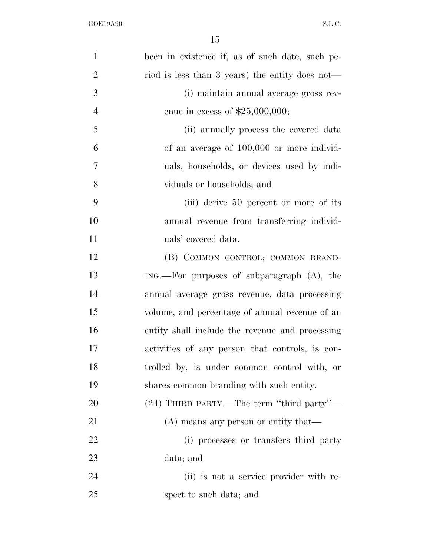| $\mathbf{1}$   | been in existence if, as of such date, such pe- |
|----------------|-------------------------------------------------|
| $\overline{2}$ | riod is less than 3 years) the entity does not— |
| 3              | (i) maintain annual average gross rev-          |
| $\overline{4}$ | enue in excess of $$25,000,000;$                |
| 5              | (ii) annually process the covered data          |
| 6              | of an average of 100,000 or more individ-       |
| 7              | uals, households, or devices used by indi-      |
| 8              | viduals or households; and                      |
| 9              | (iii) derive 50 percent or more of its          |
| 10             | annual revenue from transferring individ-       |
| 11             | uals' covered data.                             |
| 12             | (B) COMMON CONTROL; COMMON BRAND-               |
| 13             | $ING.$ For purposes of subparagraph $(A)$ , the |
| 14             | annual average gross revenue, data processing   |
| 15             | volume, and percentage of annual revenue of an  |
| 16             | entity shall include the revenue and processing |
| 17             | activities of any person that controls, is con- |
| 18             | trolled by, is under common control with, or    |
| 19             | shares common branding with such entity.        |
| 20             | (24) THIRD PARTY.—The term "third party"—       |
| 21             | $(A)$ means any person or entity that—          |
| 22             | (i) processes or transfers third party          |
| 23             | data; and                                       |
| 24             | (ii) is not a service provider with re-         |
| 25             | spect to such data; and                         |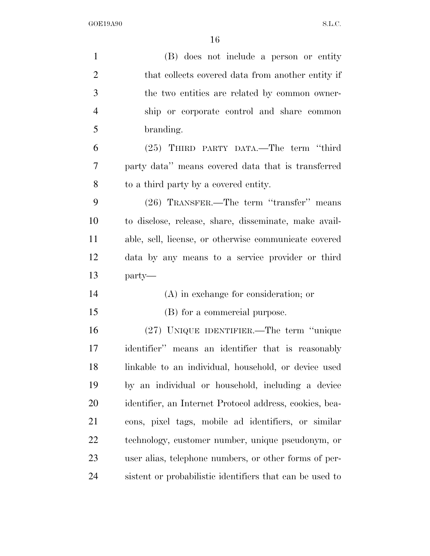| $\mathbf{1}$   | (B) does not include a person or entity                  |
|----------------|----------------------------------------------------------|
| $\overline{2}$ | that collects covered data from another entity if        |
| 3              | the two entities are related by common owner-            |
| $\overline{4}$ | ship or corporate control and share common               |
| 5              | branding.                                                |
| 6              | (25) THIRD PARTY DATA.—The term "third                   |
| 7              | party data" means covered data that is transferred       |
| 8              | to a third party by a covered entity.                    |
| 9              | (26) TRANSFER.—The term "transfer" means                 |
| 10             | to disclose, release, share, disseminate, make avail-    |
| 11             | able, sell, license, or otherwise communicate covered    |
| 12             | data by any means to a service provider or third         |
| 13             | party—                                                   |
| 14             | $(A)$ in exchange for consideration; or                  |
| 15             | (B) for a commercial purpose.                            |
| 16             | (27) UNIQUE IDENTIFIER.—The term "unique                 |
| 17             | identifier" means an identifier that is reasonably       |
| 18             | linkable to an individual, household, or device used     |
| 19             | by an individual or household, including a device        |
| 20             | identifier, an Internet Protocol address, cookies, bea-  |
| 21             | cons, pixel tags, mobile ad identifiers, or similar      |
| 22             | technology, customer number, unique pseudonym, or        |
| 23             | user alias, telephone numbers, or other forms of per-    |
| 24             | sistent or probabilistic identifiers that can be used to |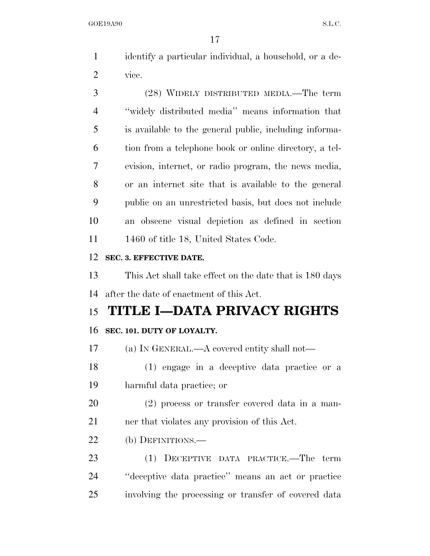identify a particular individual, a household, or a de-vice.

 (28) WIDELY DISTRIBUTED MEDIA.—The term ''widely distributed media'' means information that is available to the general public, including informa- tion from a telephone book or online directory, a tel- evision, internet, or radio program, the news media, or an internet site that is available to the general public on an unrestricted basis, but does not include an obscene visual depiction as defined in section 11 1460 of title 18, United States Code.

### **SEC. 3. EFFECTIVE DATE.**

 This Act shall take effect on the date that is 180 days after the date of enactment of this Act.

# **TITLE I—DATA PRIVACY RIGHTS**

# **SEC. 101. DUTY OF LOYALTY.**

(a) IN GENERAL.—A covered entity shall not—

 (1) engage in a deceptive data practice or a harmful data practice; or

 (2) process or transfer covered data in a man-ner that violates any provision of this Act.

(b) DEFINITIONS.—

 (1) DECEPTIVE DATA PRACTICE.—The term ''deceptive data practice'' means an act or practice involving the processing or transfer of covered data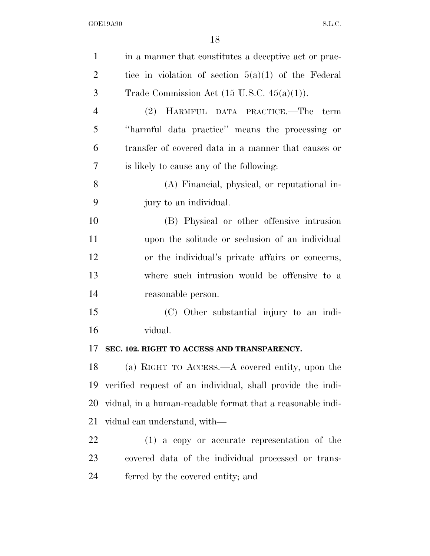| $\mathbf{1}$   | in a manner that constitutes a deceptive act or prac-      |
|----------------|------------------------------------------------------------|
| $\overline{2}$ | tice in violation of section $5(a)(1)$ of the Federal      |
| 3              | Trade Commission Act $(15 \text{ U.S.C. } 45(a)(1)).$      |
| $\overline{4}$ | (2) HARMFUL DATA PRACTICE.—The term                        |
| 5              | "harmful data practice" means the processing or            |
| 6              | transfer of covered data in a manner that causes or        |
| 7              | is likely to cause any of the following:                   |
| 8              | (A) Financial, physical, or reputational in-               |
| 9              | jury to an individual.                                     |
| 10             | (B) Physical or other offensive intrusion                  |
| 11             | upon the solitude or seclusion of an individual            |
| 12             | or the individual's private affairs or concerns,           |
| 13             | where such intrusion would be offensive to a               |
| 14             | reasonable person.                                         |
| 15             | (C) Other substantial injury to an indi-                   |
| 16             | vidual.                                                    |
| 17             | SEC. 102. RIGHT TO ACCESS AND TRANSPARENCY.                |
| 18             | (a) RIGHT TO ACCESS.—A covered entity, upon the            |
| 19             | verified request of an individual, shall provide the indi- |
| 20             | vidual, in a human-readable format that a reasonable indi- |
| 21             | vidual can understand, with—                               |
| <u>22</u>      | $(1)$ a copy or accurate representation of the             |
| 23             | covered data of the individual processed or trans-         |
| 24             | ferred by the covered entity; and                          |
|                |                                                            |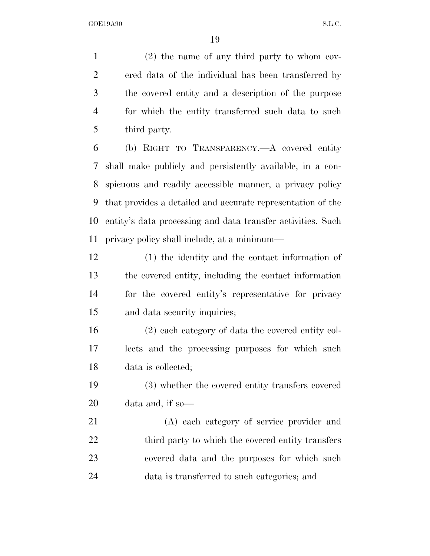(2) the name of any third party to whom cov- ered data of the individual has been transferred by the covered entity and a description of the purpose for which the entity transferred such data to such third party.

 (b) RIGHT TO TRANSPARENCY.—A covered entity shall make publicly and persistently available, in a con- spicuous and readily accessible manner, a privacy policy that provides a detailed and accurate representation of the entity's data processing and data transfer activities. Such privacy policy shall include, at a minimum—

 (1) the identity and the contact information of the covered entity, including the contact information for the covered entity's representative for privacy and data security inquiries;

 (2) each category of data the covered entity col- lects and the processing purposes for which such data is collected;

 (3) whether the covered entity transfers covered data and, if so—

 (A) each category of service provider and 22 third party to which the covered entity transfers covered data and the purposes for which such data is transferred to such categories; and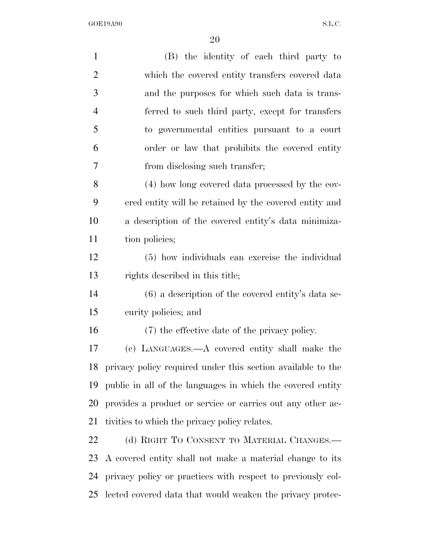| $\mathbf{1}$   | (B) the identity of each third party to                     |
|----------------|-------------------------------------------------------------|
| $\overline{2}$ | which the covered entity transfers covered data             |
| 3              | and the purposes for which such data is trans-              |
| $\overline{4}$ | ferred to such third party, except for transfers            |
| 5              | to governmental entities pursuant to a court                |
| 6              | order or law that prohibits the covered entity              |
| 7              | from disclosing such transfer;                              |
| 8              | (4) how long covered data processed by the cov-             |
| 9              | ered entity will be retained by the covered entity and      |
| 10             | a description of the covered entity's data minimiza-        |
| 11             | tion policies;                                              |
| 12             | (5) how individuals can exercise the individual             |
| 13             | rights described in this title;                             |
| 14             | $(6)$ a description of the covered entity's data se-        |
| 15             | curity policies; and                                        |
| 16             | (7) the effective date of the privacy policy.               |
| 17             | (c) LANGUAGES.—A covered entity shall make the              |
| 18             | privacy policy required under this section available to the |
| 19             | public in all of the languages in which the covered entity  |
| 20             | provides a product or service or carries out any other ac-  |
| 21             | tivities to which the privacy policy relates.               |
| 22             | (d) RIGHT TO CONSENT TO MATERIAL CHANGES.—                  |
| 23             | A covered entity shall not make a material change to its    |
| 24             | privacy policy or practices with respect to previously col- |
| 25             | lected covered data that would weaken the privacy protec-   |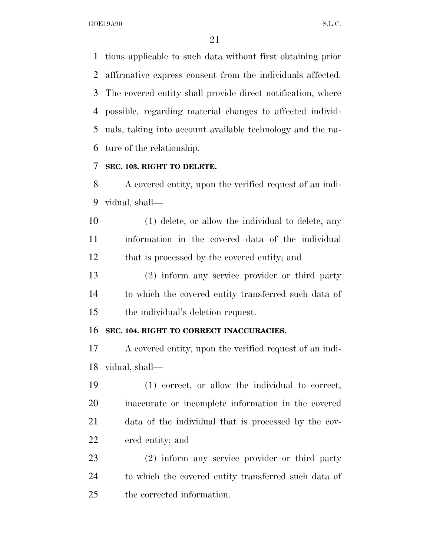tions applicable to such data without first obtaining prior affirmative express consent from the individuals affected. The covered entity shall provide direct notification, where possible, regarding material changes to affected individ- uals, taking into account available technology and the na-ture of the relationship.

### **SEC. 103. RIGHT TO DELETE.**

 A covered entity, upon the verified request of an indi-vidual, shall—

 (1) delete, or allow the individual to delete, any information in the covered data of the individual that is processed by the covered entity; and

 (2) inform any service provider or third party to which the covered entity transferred such data of the individual's deletion request.

### **SEC. 104. RIGHT TO CORRECT INACCURACIES.**

 A covered entity, upon the verified request of an indi-vidual, shall—

 (1) correct, or allow the individual to correct, inaccurate or incomplete information in the covered data of the individual that is processed by the cov-ered entity; and

 (2) inform any service provider or third party to which the covered entity transferred such data of the corrected information.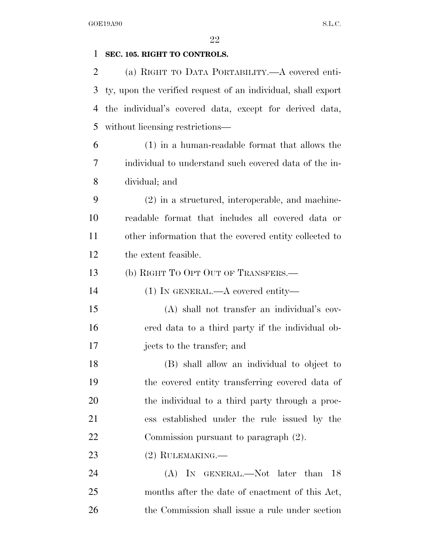# **SEC. 105. RIGHT TO CONTROLS.**  (a) RIGHT TO DATA PORTABILITY.—A covered enti- ty, upon the verified request of an individual, shall export the individual's covered data, except for derived data, without licensing restrictions— (1) in a human-readable format that allows the individual to understand such covered data of the in- dividual; and (2) in a structured, interoperable, and machine- readable format that includes all covered data or other information that the covered entity collected to the extent feasible. (b) RIGHT TO OPT OUT OF TRANSFERS.— (1) IN GENERAL.—A covered entity— (A) shall not transfer an individual's cov- ered data to a third party if the individual ob-jects to the transfer; and

 (B) shall allow an individual to object to the covered entity transferring covered data of the individual to a third party through a proc- ess established under the rule issued by the Commission pursuant to paragraph (2).

# 23 (2) RULEMAKING.—

24 (A) In GENERAL.—Not later than 18 months after the date of enactment of this Act, the Commission shall issue a rule under section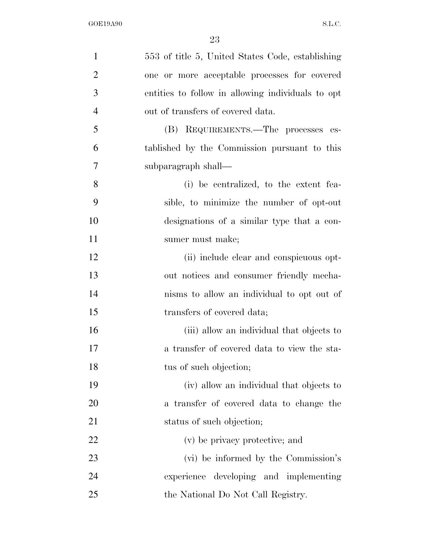| $\mathbf{1}$   | 553 of title 5, United States Code, establishing  |
|----------------|---------------------------------------------------|
| $\overline{2}$ | one or more acceptable processes for covered      |
| 3              | entities to follow in allowing individuals to opt |
| $\overline{4}$ | out of transfers of covered data.                 |
| 5              | (B) REQUIREMENTS.—The processes es-               |
| 6              | tablished by the Commission pursuant to this      |
| 7              | subparagraph shall—                               |
| 8              | (i) be centralized, to the extent fea-            |
| 9              | sible, to minimize the number of opt-out          |
| 10             | designations of a similar type that a con-        |
| 11             | sumer must make;                                  |
| 12             | (ii) include clear and conspicuous opt-           |
| 13             | out notices and consumer friendly mecha-          |
| 14             | nisms to allow an individual to opt out of        |
| 15             | transfers of covered data;                        |
| 16             | (iii) allow an individual that objects to         |
| 17             | a transfer of covered data to view the sta-       |
| 18             | tus of such objection;                            |
| 19             | (iv) allow an individual that objects to          |
| 20             | a transfer of covered data to change the          |
| 21             | status of such objection;                         |
| <u>22</u>      | (v) be privacy protective; and                    |
| 23             | (vi) be informed by the Commission's              |
| 24             | experience developing and implementing            |
| 25             | the National Do Not Call Registry.                |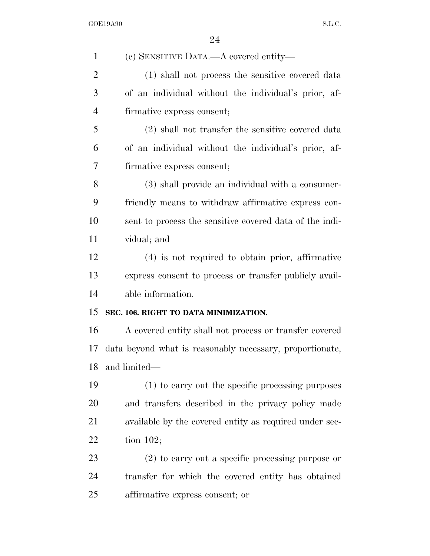| $\mathbf{1}$   | (c) SENSITIVE DATA.—A covered entity—                    |
|----------------|----------------------------------------------------------|
| $\overline{2}$ | (1) shall not process the sensitive covered data         |
| 3              | of an individual without the individual's prior, af-     |
| 4              | firmative express consent;                               |
| 5              | (2) shall not transfer the sensitive covered data        |
| 6              | of an individual without the individual's prior, af-     |
| 7              | firmative express consent;                               |
| 8              | (3) shall provide an individual with a consumer-         |
| 9              | friendly means to withdraw affirmative express con-      |
| 10             | sent to process the sensitive covered data of the indi-  |
| 11             | vidual; and                                              |
| 12             | (4) is not required to obtain prior, affirmative         |
| 13             | express consent to process or transfer publicly avail-   |
| 14             | able information.                                        |
| 15             | SEC. 106. RIGHT TO DATA MINIMIZATION.                    |
| 16             | A covered entity shall not process or transfer covered   |
| 17             | data beyond what is reasonably necessary, proportionate, |
| 18             | and limited—                                             |
| 19             | (1) to carry out the specific processing purposes        |
| 20             | and transfers described in the privacy policy made       |
| 21             | available by the covered entity as required under sec-   |
| 22             | tion $102$ ;                                             |
| 23             | $(2)$ to carry out a specific processing purpose or      |
| 24             | transfer for which the covered entity has obtained       |
| 25             | affirmative express consent; or                          |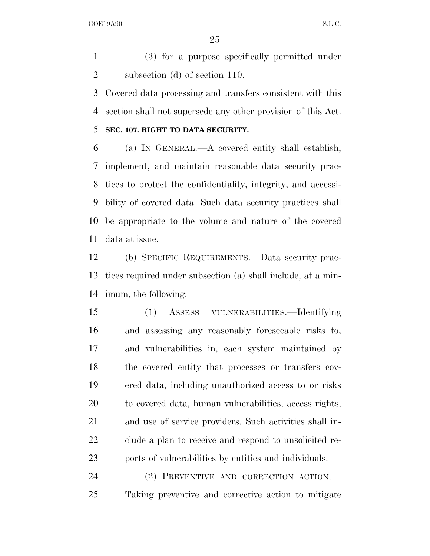(3) for a purpose specifically permitted under subsection (d) of section 110.

 Covered data processing and transfers consistent with this section shall not supersede any other provision of this Act.

### **SEC. 107. RIGHT TO DATA SECURITY.**

 (a) IN GENERAL.—A covered entity shall establish, implement, and maintain reasonable data security prac- tices to protect the confidentiality, integrity, and accessi- bility of covered data. Such data security practices shall be appropriate to the volume and nature of the covered data at issue.

 (b) SPECIFIC REQUIREMENTS.—Data security prac- tices required under subsection (a) shall include, at a min-imum, the following:

 (1) ASSESS VULNERABILITIES.—Identifying and assessing any reasonably foreseeable risks to, and vulnerabilities in, each system maintained by the covered entity that processes or transfers cov- ered data, including unauthorized access to or risks to covered data, human vulnerabilities, access rights, and use of service providers. Such activities shall in- clude a plan to receive and respond to unsolicited re-ports of vulnerabilities by entities and individuals.

 (2) PREVENTIVE AND CORRECTION ACTION.— Taking preventive and corrective action to mitigate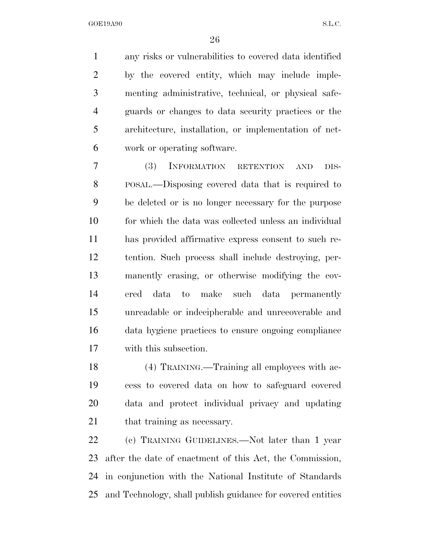any risks or vulnerabilities to covered data identified by the covered entity, which may include imple- menting administrative, technical, or physical safe- guards or changes to data security practices or the architecture, installation, or implementation of net-work or operating software.

 (3) INFORMATION RETENTION AND DIS- POSAL.—Disposing covered data that is required to be deleted or is no longer necessary for the purpose for which the data was collected unless an individual has provided affirmative express consent to such re- tention. Such process shall include destroying, per- manently erasing, or otherwise modifying the cov- ered data to make such data permanently unreadable or indecipherable and unrecoverable and data hygiene practices to ensure ongoing compliance with this subsection.

 (4) TRAINING.—Training all employees with ac- cess to covered data on how to safeguard covered data and protect individual privacy and updating 21 that training as necessary.

 (c) TRAINING GUIDELINES.—Not later than 1 year after the date of enactment of this Act, the Commission, in conjunction with the National Institute of Standards and Technology, shall publish guidance for covered entities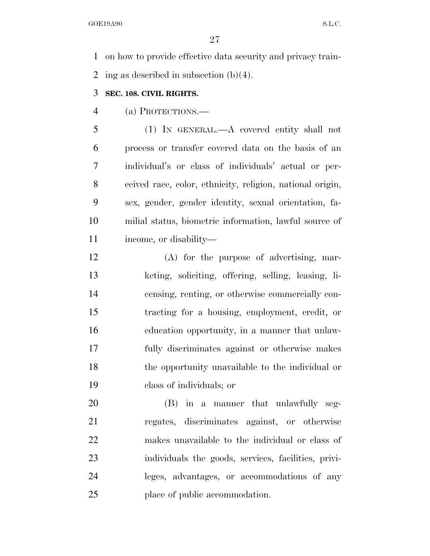on how to provide effective data security and privacy train-2 ing as described in subsection  $(b)(4)$ .

### **SEC. 108. CIVIL RIGHTS.**

(a) PROTECTIONS.—

 (1) IN GENERAL.—A covered entity shall not process or transfer covered data on the basis of an individual's or class of individuals' actual or per- ceived race, color, ethnicity, religion, national origin, sex, gender, gender identity, sexual orientation, fa- milial status, biometric information, lawful source of income, or disability—

 (A) for the purpose of advertising, mar- keting, soliciting, offering, selling, leasing, li- censing, renting, or otherwise commercially con- tracting for a housing, employment, credit, or education opportunity, in a manner that unlaw- fully discriminates against or otherwise makes the opportunity unavailable to the individual or class of individuals; or

 (B) in a manner that unlawfully seg- regates, discriminates against, or otherwise makes unavailable to the individual or class of individuals the goods, services, facilities, privi- leges, advantages, or accommodations of any place of public accommodation.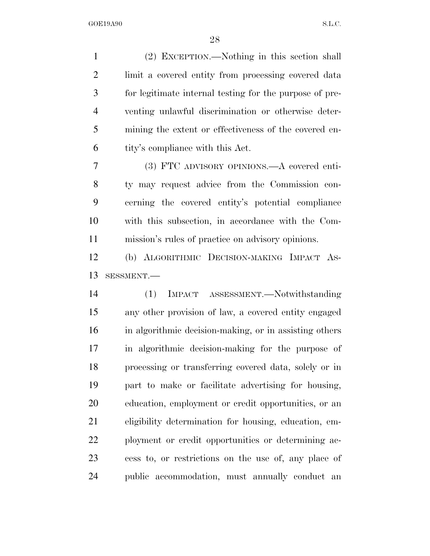(2) EXCEPTION.—Nothing in this section shall limit a covered entity from processing covered data for legitimate internal testing for the purpose of pre- venting unlawful discrimination or otherwise deter- mining the extent or effectiveness of the covered en- tity's compliance with this Act. (3) FTC ADVISORY OPINIONS.—A covered enti- ty may request advice from the Commission con- cerning the covered entity's potential compliance with this subsection, in accordance with the Com- mission's rules of practice on advisory opinions. (b) ALGORITHMIC DECISION-MAKING IMPACT AS- SESSMENT.— (1) IMPACT ASSESSMENT.—Notwithstanding any other provision of law, a covered entity engaged in algorithmic decision-making, or in assisting others in algorithmic decision-making for the purpose of processing or transferring covered data, solely or in part to make or facilitate advertising for housing, education, employment or credit opportunities, or an eligibility determination for housing, education, em- ployment or credit opportunities or determining ac- cess to, or restrictions on the use of, any place of public accommodation, must annually conduct an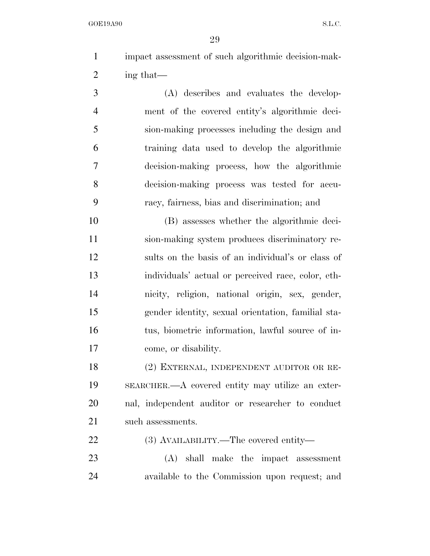impact assessment of such algorithmic decision-mak-ing that—

 (A) describes and evaluates the develop- ment of the covered entity's algorithmic deci- sion-making processes including the design and training data used to develop the algorithmic decision-making process, how the algorithmic decision-making process was tested for accu-racy, fairness, bias and discrimination; and

 (B) assesses whether the algorithmic deci- sion-making system produces discriminatory re- sults on the basis of an individual's or class of individuals' actual or perceived race, color, eth- nicity, religion, national origin, sex, gender, gender identity, sexual orientation, familial sta- tus, biometric information, lawful source of in-come, or disability.

 (2) EXTERNAL, INDEPENDENT AUDITOR OR RE- SEARCHER.—A covered entity may utilize an exter- nal, independent auditor or researcher to conduct 21 such assessments.

(3) AVAILABILITY.—The covered entity—

 (A) shall make the impact assessment available to the Commission upon request; and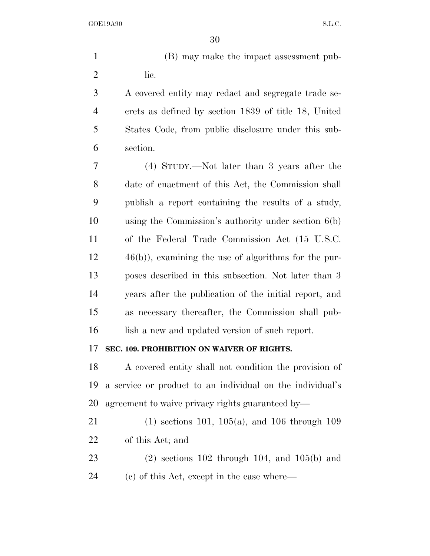(B) may make the impact assessment pub-2 lic.

 A covered entity may redact and segregate trade se- crets as defined by section 1839 of title 18, United States Code, from public disclosure under this sub-section.

 (4) STUDY.—Not later than 3 years after the date of enactment of this Act, the Commission shall publish a report containing the results of a study, using the Commission's authority under section 6(b) of the Federal Trade Commission Act (15 U.S.C. 46(b)), examining the use of algorithms for the pur- poses described in this subsection. Not later than 3 years after the publication of the initial report, and as necessary thereafter, the Commission shall pub-16 lish a new and updated version of such report.

### **SEC. 109. PROHIBITION ON WAIVER OF RIGHTS.**

 A covered entity shall not condition the provision of a service or product to an individual on the individual's agreement to waive privacy rights guaranteed by—

 (1) sections 101, 105(a), and 106 through 109 of this Act; and

 (2) sections 102 through 104, and 105(b) and (c) of this Act, except in the case where—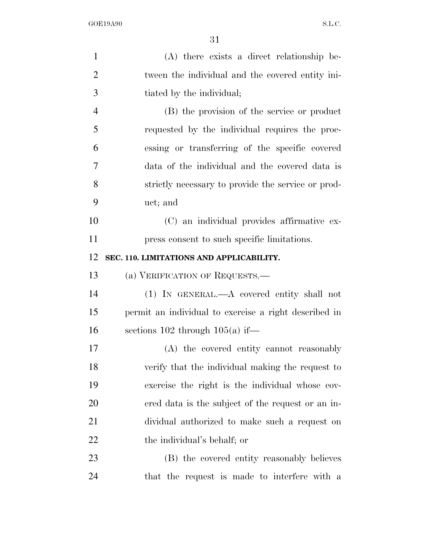| $\mathbf{1}$   | (A) there exists a direct relationship be-            |
|----------------|-------------------------------------------------------|
| $\overline{2}$ | tween the individual and the covered entity ini-      |
| 3              | tiated by the individual;                             |
| $\overline{4}$ | (B) the provision of the service or product           |
| 5              | requested by the individual requires the proc-        |
| 6              | essing or transferring of the specific covered        |
| $\tau$         | data of the individual and the covered data is        |
| 8              | strictly necessary to provide the service or prod-    |
| 9              | uct; and                                              |
| 10             | (C) an individual provides affirmative ex-            |
| 11             | press consent to such specific limitations.           |
| 12             | SEC. 110. LIMITATIONS AND APPLICABILITY.              |
| 13             | (a) VERIFICATION OF REQUESTS.—                        |
| 14             | $(1)$ IN GENERAL.—A covered entity shall not          |
| 15             | permit an individual to exercise a right described in |
| 16             | sections $102$ through $105(a)$ if—                   |
| 17             | (A) the covered entity cannot reasonably              |
| 18             | verify that the individual making the request to      |
| 19             | exercise the right is the individual whose cov-       |
| 20             | ered data is the subject of the request or an in-     |
| 21             | dividual authorized to make such a request on         |
| <u>22</u>      | the individual's behalf; or                           |
|                |                                                       |
| 23             | (B) the covered entity reasonably believes            |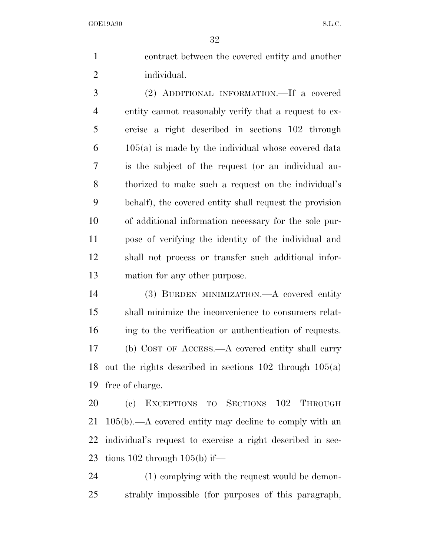contract between the covered entity and another individual.

 (2) ADDITIONAL INFORMATION.—If a covered entity cannot reasonably verify that a request to ex- ercise a right described in sections 102 through 105(a) is made by the individual whose covered data is the subject of the request (or an individual au- thorized to make such a request on the individual's behalf), the covered entity shall request the provision of additional information necessary for the sole pur- pose of verifying the identity of the individual and shall not process or transfer such additional infor-mation for any other purpose.

 (3) BURDEN MINIMIZATION.—A covered entity shall minimize the inconvenience to consumers relat- ing to the verification or authentication of requests. (b) COST OF ACCESS.—A covered entity shall carry out the rights described in sections 102 through 105(a) free of charge.

 (c) EXCEPTIONS TO SECTIONS 102 THROUGH 105(b).—A covered entity may decline to comply with an individual's request to exercise a right described in sec-23 tions through  $105(b)$  if—

 (1) complying with the request would be demon-strably impossible (for purposes of this paragraph,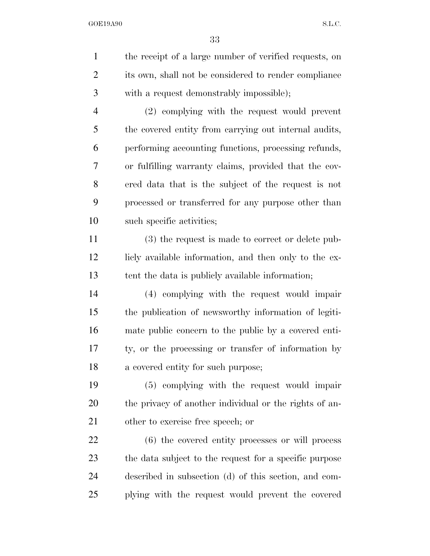the receipt of a large number of verified requests, on its own, shall not be considered to render compliance with a request demonstrably impossible); (2) complying with the request would prevent the covered entity from carrying out internal audits, performing accounting functions, processing refunds, or fulfilling warranty claims, provided that the cov-ered data that is the subject of the request is not

 processed or transferred for any purpose other than such specific activities;

 (3) the request is made to correct or delete pub-12 licly available information, and then only to the ex-tent the data is publicly available information;

 (4) complying with the request would impair the publication of newsworthy information of legiti- mate public concern to the public by a covered enti- ty, or the processing or transfer of information by a covered entity for such purpose;

 (5) complying with the request would impair the privacy of another individual or the rights of an-other to exercise free speech; or

 (6) the covered entity processes or will process the data subject to the request for a specific purpose described in subsection (d) of this section, and com-plying with the request would prevent the covered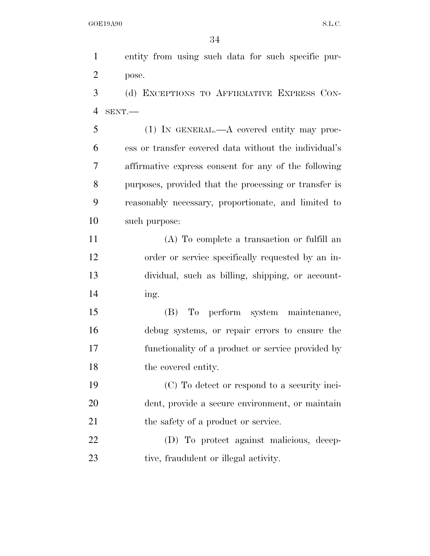entity from using such data for such specific pur- pose. (d) EXCEPTIONS TO AFFIRMATIVE EXPRESS CON-

SENT.—

 (1) IN GENERAL.—A covered entity may proc- ess or transfer covered data without the individual's affirmative express consent for any of the following purposes, provided that the processing or transfer is reasonably necessary, proportionate, and limited to such purpose:

 (A) To complete a transaction or fulfill an order or service specifically requested by an in- dividual, such as billing, shipping, or account-ing.

 (B) To perform system maintenance, debug systems, or repair errors to ensure the functionality of a product or service provided by 18 the covered entity.

 (C) To detect or respond to a security inci- dent, provide a secure environment, or maintain 21 the safety of a product or service.

 (D) To protect against malicious, decep-23 tive, fraudulent or illegal activity.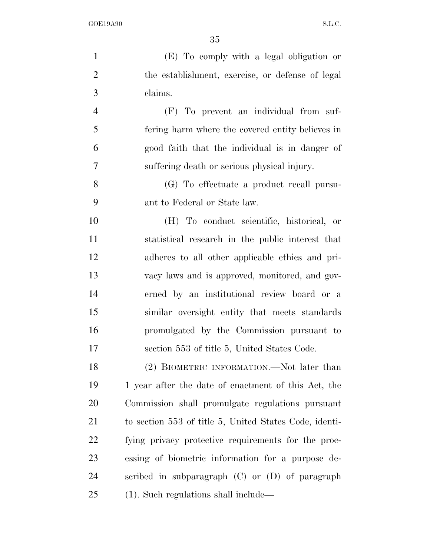(E) To comply with a legal obligation or the establishment, exercise, or defense of legal claims. (F) To prevent an individual from suf- fering harm where the covered entity believes in good faith that the individual is in danger of suffering death or serious physical injury. (G) To effectuate a product recall pursu- ant to Federal or State law. (H) To conduct scientific, historical, or statistical research in the public interest that adheres to all other applicable ethics and pri- vacy laws and is approved, monitored, and gov- erned by an institutional review board or a similar oversight entity that meets standards promulgated by the Commission pursuant to section 553 of title 5, United States Code. 18 (2) BIOMETRIC INFORMATION.—Not later than 1 year after the date of enactment of this Act, the

 Commission shall promulgate regulations pursuant to section 553 of title 5, United States Code, identi- fying privacy protective requirements for the proc- essing of biometric information for a purpose de- scribed in subparagraph (C) or (D) of paragraph (1). Such regulations shall include—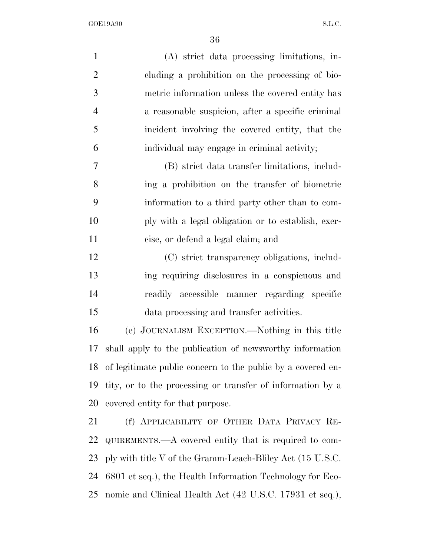| $\mathbf{1}$   | (A) strict data processing limitations, in-                 |
|----------------|-------------------------------------------------------------|
| $\overline{2}$ | cluding a prohibition on the processing of bio-             |
| 3              | metric information unless the covered entity has            |
| $\overline{4}$ | a reasonable suspicion, after a specific criminal           |
| 5              | incident involving the covered entity, that the             |
| 6              | individual may engage in criminal activity;                 |
| 7              | (B) strict data transfer limitations, includ-               |
| 8              | ing a prohibition on the transfer of biometric              |
| 9              | information to a third party other than to com-             |
| 10             | ply with a legal obligation or to establish, exer-          |
| 11             | cise, or defend a legal claim; and                          |
| 12             | (C) strict transparency obligations, includ-                |
| 13             | ing requiring disclosures in a conspicuous and              |
| 14             | readily accessible manner regarding specific                |
| 15             | data processing and transfer activities.                    |
| 16             | (e) JOURNALISM EXCEPTION.—Nothing in this title             |
| 17             | shall apply to the publication of newsworthy information    |
| 18             | of legitimate public concern to the public by a covered en- |
| 19             | tity, or to the processing or transfer of information by a  |
| 20             | covered entity for that purpose.                            |
| 21             | (f) APPLICABILITY OF OTHER DATA PRIVACY RE-                 |
| 22             | QUIREMENTS.—A covered entity that is required to com-       |
| 23             | ply with title V of the Gramm-Leach-Bliley Act (15 U.S.C.   |
| 24             | 6801 et seq.), the Health Information Technology for Eco-   |
| 25             | nomic and Clinical Health Act (42 U.S.C. 17931 et seq.),    |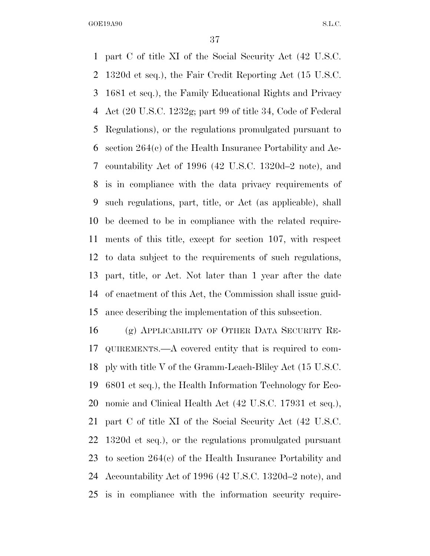part C of title XI of the Social Security Act (42 U.S.C. 1320d et seq.), the Fair Credit Reporting Act (15 U.S.C. 1681 et seq.), the Family Educational Rights and Privacy Act (20 U.S.C. 1232g; part 99 of title 34, Code of Federal Regulations), or the regulations promulgated pursuant to section 264(c) of the Health Insurance Portability and Ac- countability Act of 1996 (42 U.S.C. 1320d–2 note), and is in compliance with the data privacy requirements of such regulations, part, title, or Act (as applicable), shall be deemed to be in compliance with the related require- ments of this title, except for section 107, with respect to data subject to the requirements of such regulations, part, title, or Act. Not later than 1 year after the date of enactment of this Act, the Commission shall issue guid-ance describing the implementation of this subsection.

 (g) APPLICABILITY OF OTHER DATA SECURITY RE- QUIREMENTS.—A covered entity that is required to com- ply with title V of the Gramm-Leach-Bliley Act (15 U.S.C. 6801 et seq.), the Health Information Technology for Eco- nomic and Clinical Health Act (42 U.S.C. 17931 et seq.), part C of title XI of the Social Security Act (42 U.S.C. 1320d et seq.), or the regulations promulgated pursuant to section 264(c) of the Health Insurance Portability and Accountability Act of 1996 (42 U.S.C. 1320d–2 note), and is in compliance with the information security require-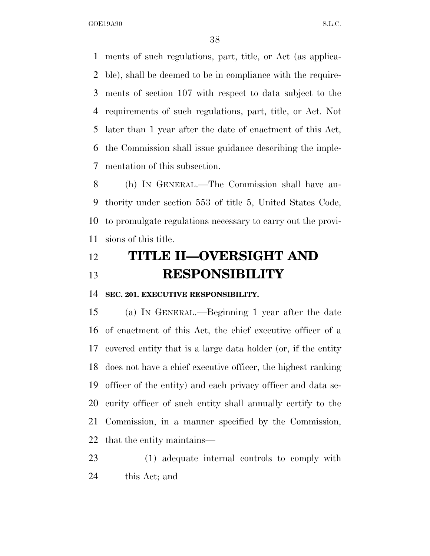ments of such regulations, part, title, or Act (as applica- ble), shall be deemed to be in compliance with the require- ments of section 107 with respect to data subject to the requirements of such regulations, part, title, or Act. Not later than 1 year after the date of enactment of this Act, the Commission shall issue guidance describing the imple-mentation of this subsection.

 (h) IN GENERAL.—The Commission shall have au- thority under section 553 of title 5, United States Code, to promulgate regulations necessary to carry out the provi-sions of this title.

# **TITLE II—OVERSIGHT AND RESPONSIBILITY**

**SEC. 201. EXECUTIVE RESPONSIBILITY.** 

 (a) IN GENERAL.—Beginning 1 year after the date of enactment of this Act, the chief executive officer of a covered entity that is a large data holder (or, if the entity does not have a chief executive officer, the highest ranking officer of the entity) and each privacy officer and data se- curity officer of such entity shall annually certify to the Commission, in a manner specified by the Commission, that the entity maintains—

 (1) adequate internal controls to comply with this Act; and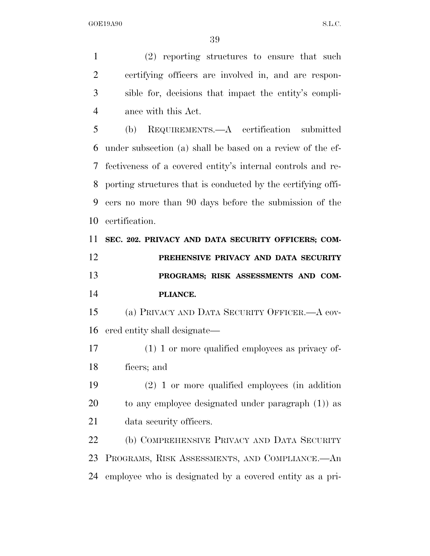(2) reporting structures to ensure that such

 certifying officers are involved in, and are respon- sible for, decisions that impact the entity's compli- ance with this Act. (b) REQUIREMENTS.—A certification submitted under subsection (a) shall be based on a review of the ef- fectiveness of a covered entity's internal controls and re- porting structures that is conducted by the certifying offi- cers no more than 90 days before the submission of the certification. **SEC. 202. PRIVACY AND DATA SECURITY OFFICERS; COM- PREHENSIVE PRIVACY AND DATA SECURITY PROGRAMS; RISK ASSESSMENTS AND COM- PLIANCE.**  (a) PRIVACY AND DATA SECURITY OFFICER.—A cov- ered entity shall designate— (1) 1 or more qualified employees as privacy of- ficers; and (2) 1 or more qualified employees (in addition to any employee designated under paragraph (1)) as data security officers. (b) COMPREHENSIVE PRIVACY AND DATA SECURITY PROGRAMS, RISK ASSESSMENTS, AND COMPLIANCE.—An employee who is designated by a covered entity as a pri-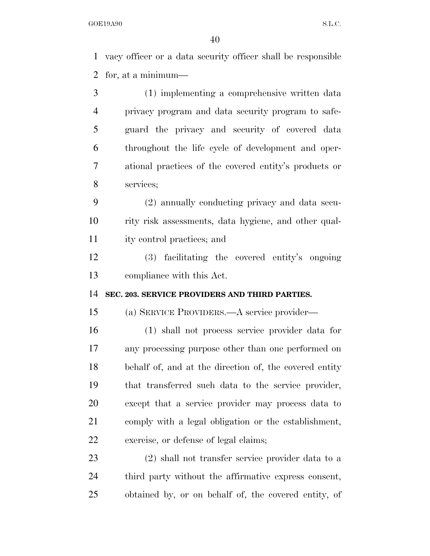vacy officer or a data security officer shall be responsible for, at a minimum—

 (1) implementing a comprehensive written data privacy program and data security program to safe- guard the privacy and security of covered data throughout the life cycle of development and oper- ational practices of the covered entity's products or services;

 (2) annually conducting privacy and data secu- rity risk assessments, data hygiene, and other qual-ity control practices; and

 (3) facilitating the covered entity's ongoing compliance with this Act.

**SEC. 203. SERVICE PROVIDERS AND THIRD PARTIES.** 

(a) SERVICE PROVIDERS.—A service provider—

 (1) shall not process service provider data for any processing purpose other than one performed on behalf of, and at the direction of, the covered entity that transferred such data to the service provider, except that a service provider may process data to comply with a legal obligation or the establishment, exercise, or defense of legal claims;

 (2) shall not transfer service provider data to a third party without the affirmative express consent, obtained by, or on behalf of, the covered entity, of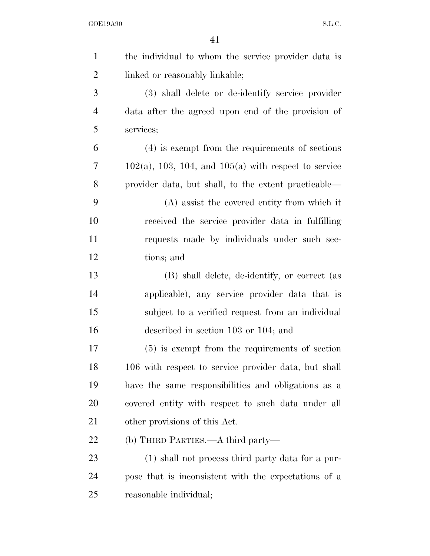| $\mathbf{1}$   | the individual to whom the service provider data is       |
|----------------|-----------------------------------------------------------|
| $\overline{2}$ | linked or reasonably linkable;                            |
| 3              | (3) shall delete or de-identify service provider          |
| $\overline{4}$ | data after the agreed upon end of the provision of        |
| 5              | services;                                                 |
| 6              | $(4)$ is exempt from the requirements of sections         |
| 7              | $102(a)$ , 103, 104, and $105(a)$ with respect to service |
| 8              | provider data, but shall, to the extent practicable—      |
| 9              | (A) assist the covered entity from which it               |
| 10             | received the service provider data in fulfilling          |
| 11             | requests made by individuals under such sec-              |
| 12             | tions; and                                                |
| 13             | (B) shall delete, de-identify, or correct (as             |
| 14             | applicable), any service provider data that is            |
| 15             | subject to a verified request from an individual          |
| 16             | described in section 103 or 104; and                      |
| 17             | $(5)$ is exempt from the requirements of section          |
| 18             | 106 with respect to service provider data, but shall      |
| 19             | have the same responsibilities and obligations as a       |
| 20             | covered entity with respect to such data under all        |
| 21             | other provisions of this Act.                             |
| 22             | (b) THIRD PARTIES.—A third party—                         |
| 23             | (1) shall not process third party data for a pur-         |
| 24             | pose that is inconsistent with the expectations of a      |
| 25             | reasonable individual;                                    |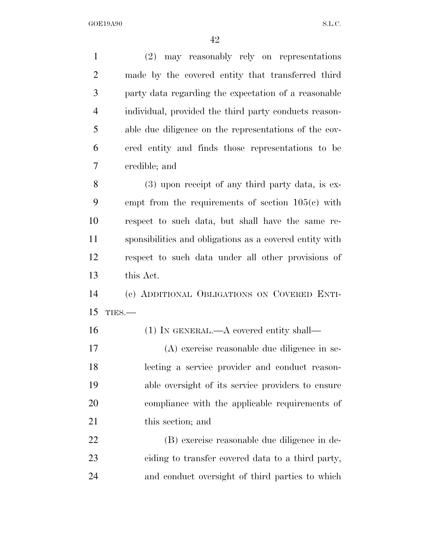(2) may reasonably rely on representations made by the covered entity that transferred third party data regarding the expectation of a reasonable individual, provided the third party conducts reason- able due diligence on the representations of the cov- ered entity and finds those representations to be credible; and (3) upon receipt of any third party data, is ex- empt from the requirements of section 105(c) with respect to such data, but shall have the same re- sponsibilities and obligations as a covered entity with respect to such data under all other provisions of this Act. (c) ADDITIONAL OBLIGATIONS ON COVERED ENTI- TIES.— 16 (1) IN GENERAL.—A covered entity shall— (A) exercise reasonable due diligence in se- lecting a service provider and conduct reason- able oversight of its service providers to ensure compliance with the applicable requirements of 21 this section; and (B) exercise reasonable due diligence in de-ciding to transfer covered data to a third party,

and conduct oversight of third parties to which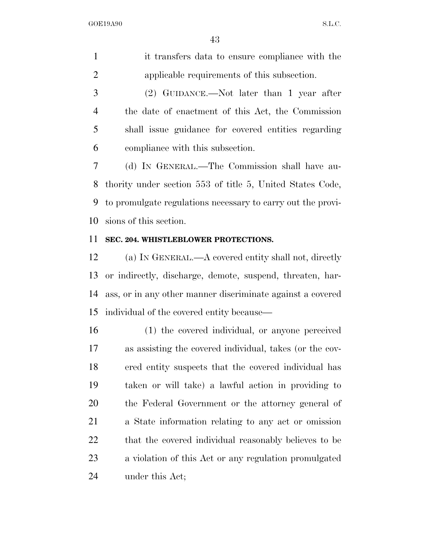it transfers data to ensure compliance with the applicable requirements of this subsection.

 (2) GUIDANCE.—Not later than 1 year after the date of enactment of this Act, the Commission shall issue guidance for covered entities regarding compliance with this subsection.

 (d) IN GENERAL.—The Commission shall have au- thority under section 553 of title 5, United States Code, to promulgate regulations necessary to carry out the provi-sions of this section.

### **SEC. 204. WHISTLEBLOWER PROTECTIONS.**

 (a) IN GENERAL.—A covered entity shall not, directly or indirectly, discharge, demote, suspend, threaten, har- ass, or in any other manner discriminate against a covered individual of the covered entity because—

 (1) the covered individual, or anyone perceived as assisting the covered individual, takes (or the cov- ered entity suspects that the covered individual has taken or will take) a lawful action in providing to the Federal Government or the attorney general of a State information relating to any act or omission 22 that the covered individual reasonably believes to be a violation of this Act or any regulation promulgated under this Act;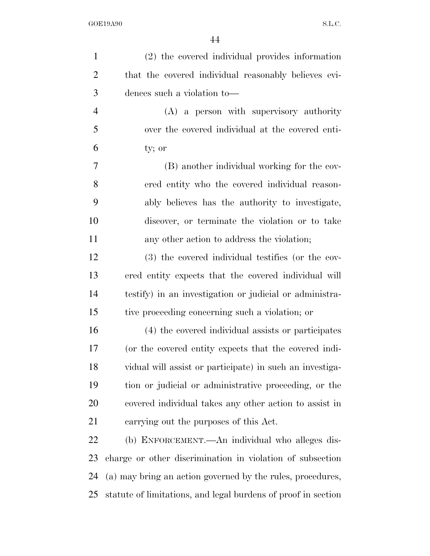| $\mathbf{1}$   | (2) the covered individual provides information               |
|----------------|---------------------------------------------------------------|
| $\overline{2}$ | that the covered individual reasonably believes evi-          |
| 3              | dences such a violation to-                                   |
| $\overline{4}$ | (A) a person with supervisory authority                       |
| 5              | over the covered individual at the covered enti-              |
| 6              | ty; or                                                        |
| 7              | (B) another individual working for the cov-                   |
| 8              | ered entity who the covered individual reason-                |
| 9              | ably believes has the authority to investigate,               |
| 10             | discover, or terminate the violation or to take               |
| 11             | any other action to address the violation;                    |
| 12             | (3) the covered individual testifies (or the cov-             |
| 13             | ered entity expects that the covered individual will          |
| 14             | testify) in an investigation or judicial or administra-       |
| 15             | tive proceeding concerning such a violation; or               |
| 16             | (4) the covered individual assists or participates            |
| 17             | (or the covered entity expects that the covered indi-         |
| 18             | vidual will assist or participate) in such an investiga-      |
| 19             | tion or judicial or administrative proceeding, or the         |
| 20             | covered individual takes any other action to assist in        |
| 21             | carrying out the purposes of this Act.                        |
| 22             | (b) ENFORCEMENT.—An individual who alleges dis-               |
| 23             | charge or other discrimination in violation of subsection     |
| 24             | (a) may bring an action governed by the rules, procedures,    |
| 25             | statute of limitations, and legal burdens of proof in section |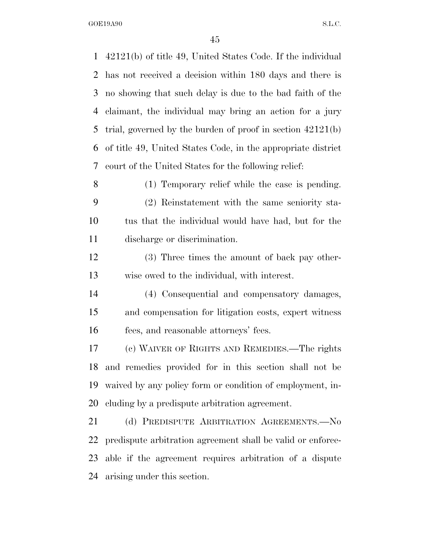42121(b) of title 49, United States Code. If the individual has not received a decision within 180 days and there is no showing that such delay is due to the bad faith of the claimant, the individual may bring an action for a jury trial, governed by the burden of proof in section 42121(b) of title 49, United States Code, in the appropriate district court of the United States for the following relief: (1) Temporary relief while the case is pending. (2) Reinstatement with the same seniority sta- tus that the individual would have had, but for the discharge or discrimination. (3) Three times the amount of back pay other- wise owed to the individual, with interest. (4) Consequential and compensatory damages, and compensation for litigation costs, expert witness fees, and reasonable attorneys' fees. (c) WAIVER OF RIGHTS AND REMEDIES.—The rights and remedies provided for in this section shall not be waived by any policy form or condition of employment, in- cluding by a predispute arbitration agreement. 21 (d) PREDISPUTE ARBITRATION AGREEMENTS. No predispute arbitration agreement shall be valid or enforce- able if the agreement requires arbitration of a dispute arising under this section.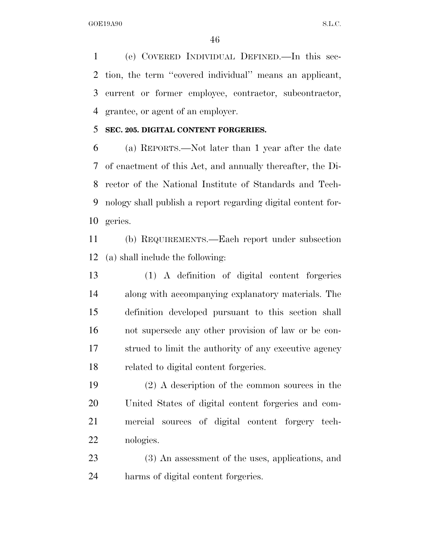(e) COVERED INDIVIDUAL DEFINED.—In this sec- tion, the term ''covered individual'' means an applicant, current or former employee, contractor, subcontractor, grantee, or agent of an employer.

### **SEC. 205. DIGITAL CONTENT FORGERIES.**

 (a) REPORTS.—Not later than 1 year after the date of enactment of this Act, and annually thereafter, the Di- rector of the National Institute of Standards and Tech- nology shall publish a report regarding digital content for-geries.

 (b) REQUIREMENTS.—Each report under subsection (a) shall include the following:

 (1) A definition of digital content forgeries along with accompanying explanatory materials. The definition developed pursuant to this section shall not supersede any other provision of law or be con- strued to limit the authority of any executive agency related to digital content forgeries.

 (2) A description of the common sources in the United States of digital content forgeries and com- mercial sources of digital content forgery tech-nologies.

 (3) An assessment of the uses, applications, and harms of digital content forgeries.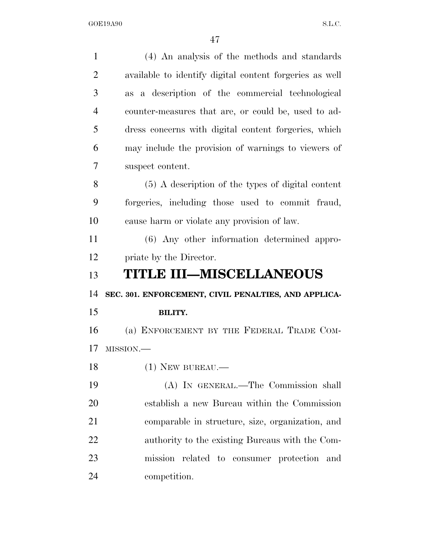| $\mathbf{1}$   | (4) An analysis of the methods and standards            |
|----------------|---------------------------------------------------------|
| $\overline{2}$ | available to identify digital content forgeries as well |
| 3              | as a description of the commercial technological        |
| $\overline{4}$ | counter-measures that are, or could be, used to ad-     |
| 5              | dress concerns with digital content forgeries, which    |
| 6              | may include the provision of warnings to viewers of     |
| $\overline{7}$ | suspect content.                                        |
| 8              | $(5)$ A description of the types of digital content     |
| 9              | forgeries, including those used to commit fraud,        |
| 10             | cause harm or violate any provision of law.             |
| 11             | (6) Any other information determined appro-             |
| 12             | priate by the Director.                                 |
| 13             | <b>TITLE III-MISCELLANEOUS</b>                          |
|                |                                                         |
|                | SEC. 301. ENFORCEMENT, CIVIL PENALTIES, AND APPLICA-    |
| 14<br>15       | <b>BILITY.</b>                                          |
| 16             | (a) ENFORCEMENT BY THE FEDERAL TRADE COM-               |
|                | MISSION.-                                               |
| 17<br>18       | $(1)$ NEW BUREAU.—                                      |
| 19             | (A) IN GENERAL.—The Commission shall                    |
| 20             | establish a new Bureau within the Commission            |
| 21             | comparable in structure, size, organization, and        |
| 22             | authority to the existing Bureaus with the Com-         |
| 23             | mission related to consumer protection and              |
| 24             | competition.                                            |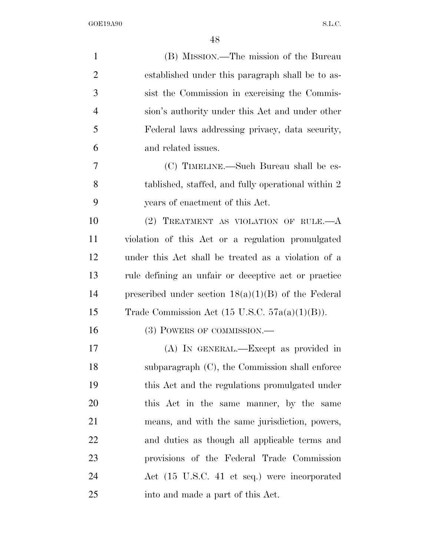| $\mathbf{1}$   | (B) MISSION.—The mission of the Bureau                    |
|----------------|-----------------------------------------------------------|
| $\overline{2}$ | established under this paragraph shall be to as-          |
| 3              | sist the Commission in exercising the Commis-             |
| 4              | sion's authority under this Act and under other           |
| 5              | Federal laws addressing privacy, data security,           |
| 6              | and related issues.                                       |
| 7              | (C) TIMELINE.—Such Bureau shall be es-                    |
| 8              | tablished, staffed, and fully operational within 2        |
| 9              | years of enactment of this Act.                           |
| 10             | (2) TREATMENT AS VIOLATION OF RULE. $-A$                  |
| 11             | violation of this Act or a regulation promulgated         |
| 12             | under this Act shall be treated as a violation of a       |
| 13             | rule defining an unfair or deceptive act or practice      |
| 14             | prescribed under section $18(a)(1)(B)$ of the Federal     |
| 15             | Trade Commission Act $(15 \text{ U.S.C. } 57a(a)(1)(B)).$ |
| 16             | (3) POWERS OF COMMISSION.—                                |
| 17             | (A) IN GENERAL.—Except as provided in                     |
| 18             | subparagraph (C), the Commission shall enforce            |
| 19             | this Act and the regulations promulgated under            |
| 20             | this Act in the same manner, by the same                  |
| 21             | means, and with the same jurisdiction, powers,            |
| 22             | and duties as though all applicable terms and             |
| 23             | provisions of the Federal Trade Commission                |
| 24             | Act (15 U.S.C. 41 et seq.) were incorporated              |
| 25             | into and made a part of this Act.                         |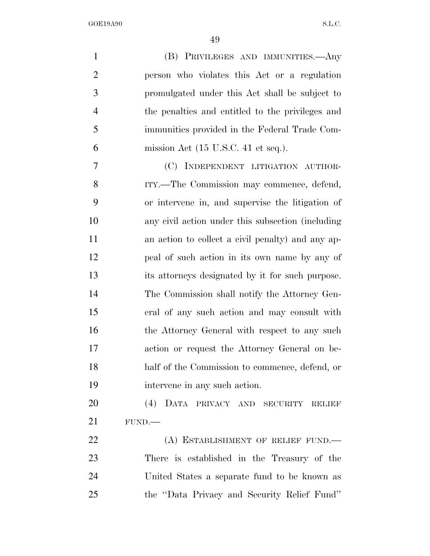| $\mathbf{1}$   | (B) PRIVILEGES AND IMMUNITIES.—Any                     |
|----------------|--------------------------------------------------------|
| $\overline{2}$ | person who violates this Act or a regulation           |
| 3              | promulgated under this Act shall be subject to         |
| 4              | the penalties and entitled to the privileges and       |
| 5              | immunities provided in the Federal Trade Com-          |
| 6              | mission Act $(15 \text{ U.S.C. } 41 \text{ et seq.}).$ |
| 7              | (C) INDEPENDENT LITIGATION AUTHOR-                     |
| 8              | ITY.—The Commission may commence, defend,              |
| 9              | or intervene in, and supervise the litigation of       |
| 10             | any civil action under this subsection (including      |
| 11             | an action to collect a civil penalty) and any ap-      |
| 12             | peal of such action in its own name by any of          |
| 13             | its attorneys designated by it for such purpose.       |
| 14             | The Commission shall notify the Attorney Gen-          |
| 15             | eral of any such action and may consult with           |
| 16             | the Attorney General with respect to any such          |
| 17             | action or request the Attorney General on be-          |
| 18             | half of the Commission to commence, defend, or         |
| 19             | intervene in any such action.                          |
| 20             | (4) DATA PRIVACY AND SECURITY RELIEF                   |
| 21             | FUND.                                                  |
| 22             | (A) ESTABLISHMENT OF RELIEF FUND.                      |
| 23             | There is established in the Treasury of the            |
| 24             | United States a separate fund to be known as           |
| 25             | the "Data Privacy and Security Relief Fund"            |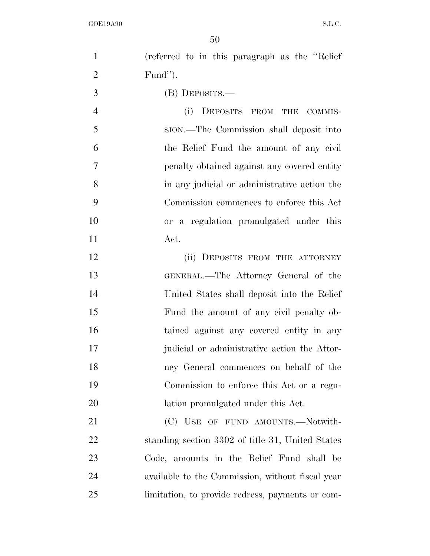| $\mathbf{1}$   | (referred to in this paragraph as the "Relief"   |
|----------------|--------------------------------------------------|
| $\overline{2}$ | Fund").                                          |
| 3              | (B) DEPOSITS.—                                   |
| $\overline{4}$ | (i) DEPOSITS FROM THE COMMIS-                    |
| 5              | sion.—The Commission shall deposit into          |
| 6              | the Relief Fund the amount of any civil          |
| $\tau$         | penalty obtained against any covered entity      |
| 8              | in any judicial or administrative action the     |
| 9              | Commission commences to enforce this Act         |
| 10             | or a regulation promulgated under this           |
| 11             | Act.                                             |
| 12             | (ii) DEPOSITS FROM THE ATTORNEY                  |
| 13             | GENERAL.—The Attorney General of the             |
| 14             | United States shall deposit into the Relief      |
| 15             | Fund the amount of any civil penalty ob-         |
| 16             | tained against any covered entity in any         |
| 17             | judicial or administrative action the Attor-     |
| 18             | ney General commences on behalf of the           |
| 19             | Commission to enforce this Act or a regu-        |
| 20             | lation promulgated under this Act.               |
| 21             | (C) USE OF FUND AMOUNTS.—Notwith-                |
| 22             | standing section 3302 of title 31, United States |
| 23             | Code, amounts in the Relief Fund shall be        |
| 24             | available to the Commission, without fiscal year |
| 25             | limitation, to provide redress, payments or com- |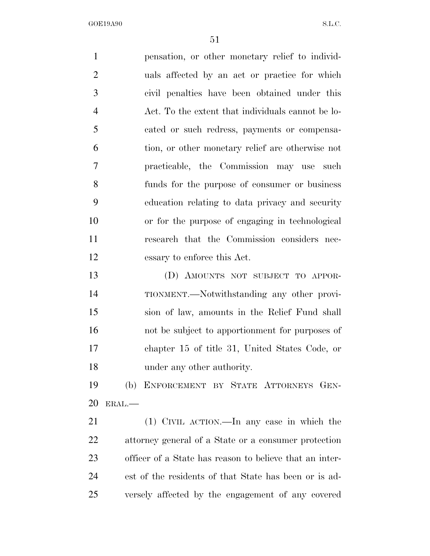pensation, or other monetary relief to individ- uals affected by an act or practice for which civil penalties have been obtained under this Act. To the extent that individuals cannot be lo- cated or such redress, payments or compensa- tion, or other monetary relief are otherwise not practicable, the Commission may use such funds for the purpose of consumer or business education relating to data privacy and security or for the purpose of engaging in technological research that the Commission considers nec- essary to enforce this Act. (D) AMOUNTS NOT SUBJECT TO APPOR- TIONMENT.—Notwithstanding any other provi- sion of law, amounts in the Relief Fund shall not be subject to apportionment for purposes of chapter 15 of title 31, United States Code, or under any other authority. (b) ENFORCEMENT BY STATE ATTORNEYS GEN-ERAL.—

 (1) CIVIL ACTION.—In any case in which the attorney general of a State or a consumer protection officer of a State has reason to believe that an inter- est of the residents of that State has been or is ad-versely affected by the engagement of any covered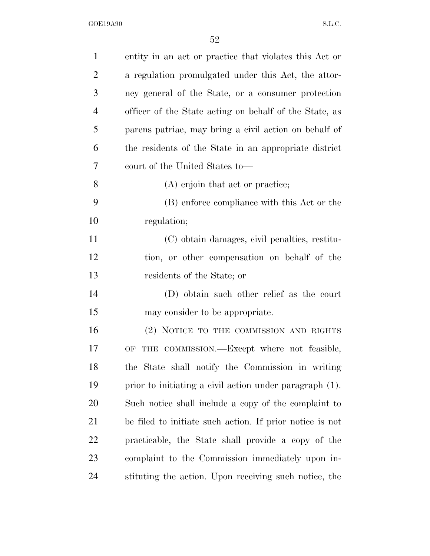| $\mathbf{1}$   | entity in an act or practice that violates this Act or   |
|----------------|----------------------------------------------------------|
| $\overline{2}$ | a regulation promulgated under this Act, the attor-      |
| 3              | ney general of the State, or a consumer protection       |
| $\overline{4}$ | officer of the State acting on behalf of the State, as   |
| 5              | parens patriae, may bring a civil action on behalf of    |
| 6              | the residents of the State in an appropriate district    |
| 7              | court of the United States to—                           |
| 8              | (A) enjoin that act or practice;                         |
| 9              | (B) enforce compliance with this Act or the              |
| 10             | regulation;                                              |
| 11             | (C) obtain damages, civil penalties, restitu-            |
| 12             | tion, or other compensation on behalf of the             |
| 13             | residents of the State; or                               |
| 14             | (D) obtain such other relief as the court                |
| 15             | may consider to be appropriate.                          |
| 16             | (2) NOTICE TO THE COMMISSION AND RIGHTS                  |
| 17             | THE COMMISSION.—Except where not feasible,<br>OF         |
| 18             | the State shall notify the Commission in writing         |
| 19             | prior to initiating a civil action under paragraph (1).  |
| 20             | Such notice shall include a copy of the complaint to     |
| 21             | be filed to initiate such action. If prior notice is not |
| <u>22</u>      | practicable, the State shall provide a copy of the       |
| 23             | complaint to the Commission immediately upon in-         |
| 24             | stituting the action. Upon receiving such notice, the    |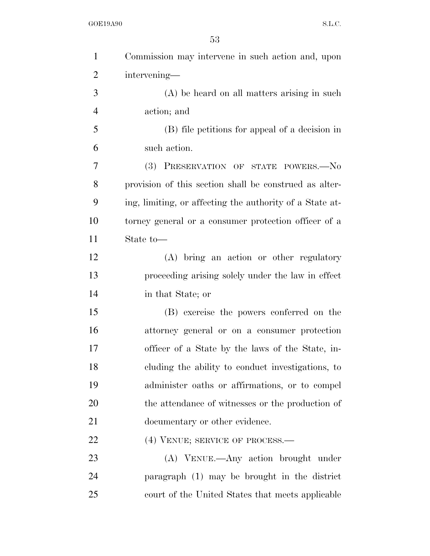| $\mathbf{1}$   | Commission may intervene in such action and, upon        |
|----------------|----------------------------------------------------------|
| $\overline{2}$ | intervening-                                             |
| 3              | (A) be heard on all matters arising in such              |
| $\overline{4}$ | action; and                                              |
| 5              | (B) file petitions for appeal of a decision in           |
| 6              | such action.                                             |
| 7              | <b>(3)</b><br>PRESERVATION OF STATE POWERS.-No           |
| 8              | provision of this section shall be construed as alter-   |
| 9              | ing, limiting, or affecting the authority of a State at- |
| 10             | torney general or a consumer protection officer of a     |
| 11             | State to-                                                |
| 12             | (A) bring an action or other regulatory                  |
| 13             | proceeding arising solely under the law in effect        |
| 14             | in that State; or                                        |
| 15             | (B) exercise the powers conferred on the                 |
| 16             | attorney general or on a consumer protection             |
| 17             | officer of a State by the laws of the State, in-         |
| 18             | cluding the ability to conduct investigations, to        |
| 19             | administer oaths or affirmations, or to compel           |
| 20             | the attendance of witnesses or the production of         |
| 21             | documentary or other evidence.                           |
| 22             | (4) VENUE; SERVICE OF PROCESS.—                          |
| 23             | (A) VENUE.—Any action brought under                      |
| 24             | paragraph (1) may be brought in the district             |
| 25             | court of the United States that meets applicable         |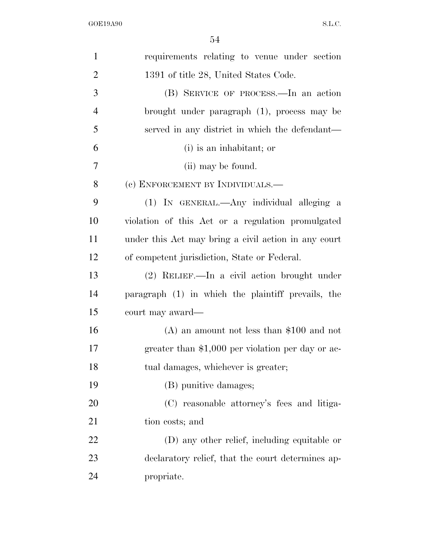| $\mathbf{1}$   | requirements relating to venue under section         |
|----------------|------------------------------------------------------|
| $\overline{2}$ | 1391 of title 28, United States Code.                |
| 3              | (B) SERVICE OF PROCESS.—In an action                 |
| $\overline{4}$ | brought under paragraph (1), process may be          |
| 5              | served in any district in which the defendant—       |
| 6              | (i) is an inhabitant; or                             |
| 7              | (ii) may be found.                                   |
| 8              | (c) ENFORCEMENT BY INDIVIDUALS.—                     |
| 9              | (1) IN GENERAL.—Any individual alleging a            |
| 10             | violation of this Act or a regulation promulgated    |
| 11             | under this Act may bring a civil action in any court |
| 12             | of competent jurisdiction, State or Federal.         |
| 13             | $(2)$ RELIEF.—In a civil action brought under        |
| 14             | paragraph (1) in which the plaintiff prevails, the   |
| 15             | court may award—                                     |
| 16             | $(A)$ an amount not less than \$100 and not          |
| 17             | greater than \$1,000 per violation per day or ac-    |
| 18             | tual damages, whichever is greater;                  |
| 19             | (B) punitive damages;                                |
| 20             | (C) reasonable attorney's fees and litiga-           |
| 21             | tion costs; and                                      |
| 22             | (D) any other relief, including equitable or         |
| 23             | declaratory relief, that the court determines ap-    |
| 24             | propriate.                                           |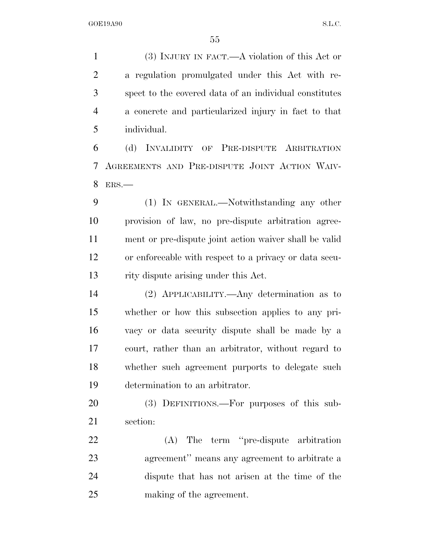(3) INJURY IN FACT.—A violation of this Act or a regulation promulgated under this Act with re- spect to the covered data of an individual constitutes a concrete and particularized injury in fact to that individual.

 (d) INVALIDITY OF PRE-DISPUTE ARBITRATION AGREEMENTS AND PRE-DISPUTE JOINT ACTION WAIV-ERS.—

 (1) IN GENERAL.—Notwithstanding any other provision of law, no pre-dispute arbitration agree- ment or pre-dispute joint action waiver shall be valid or enforceable with respect to a privacy or data secu-rity dispute arising under this Act.

 (2) APPLICABILITY.—Any determination as to whether or how this subsection applies to any pri- vacy or data security dispute shall be made by a court, rather than an arbitrator, without regard to whether such agreement purports to delegate such determination to an arbitrator.

 (3) DEFINITIONS.—For purposes of this sub-section:

 (A) The term ''pre-dispute arbitration agreement'' means any agreement to arbitrate a dispute that has not arisen at the time of the making of the agreement.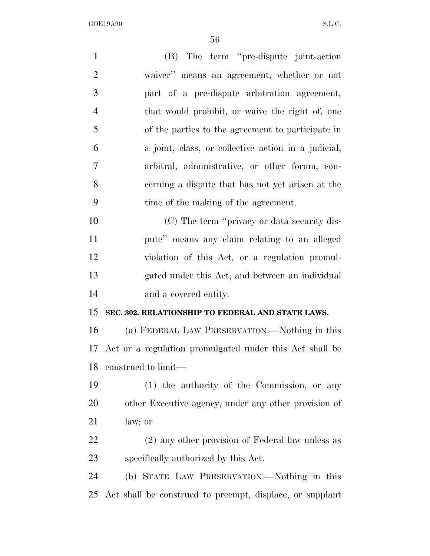| $\mathbf{1}$   | (B) The term "pre-dispute joint-action                   |
|----------------|----------------------------------------------------------|
| $\overline{2}$ | waiver" means an agreement, whether or not               |
| 3              | part of a pre-dispute arbitration agreement,             |
| $\overline{4}$ | that would prohibit, or waive the right of, one          |
| 5              | of the parties to the agreement to participate in        |
| 6              | a joint, class, or collective action in a judicial,      |
| $\overline{7}$ | arbitral, administrative, or other forum, con-           |
| 8              | cerning a dispute that has not yet arisen at the         |
| 9              | time of the making of the agreement.                     |
| 10             | (C) The term "privacy or data security dis-              |
| 11             | pute" means any claim relating to an alleged             |
| 12             | violation of this Act, or a regulation promul-           |
| 13             | gated under this Act, and between an individual          |
| 14             | and a covered entity.                                    |
| 15             | SEC. 302. RELATIONSHIP TO FEDERAL AND STATE LAWS.        |
| 16             | (a) FEDERAL LAW PRESERVATION.—Nothing in this            |
| 17             | Act or a regulation promulgated under this Act shall be  |
| 18             | construed to limit—                                      |
| 19             | (1) the authority of the Commission, or any              |
| 20             | other Executive agency, under any other provision of     |
| 21             | law; or                                                  |
| 22             | (2) any other provision of Federal law unless as         |
| 23             | specifically authorized by this Act.                     |
| 24             | (b) STATE LAW PRESERVATION.—Nothing in this              |
| 25             | Act shall be construed to preempt, displace, or supplant |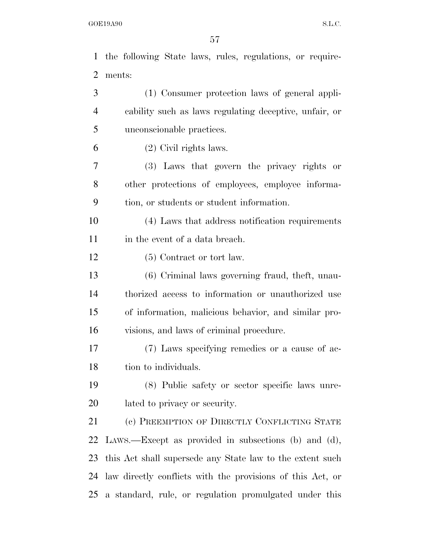the following State laws, rules, regulations, or require- ments: (1) Consumer protection laws of general appli- cability such as laws regulating deceptive, unfair, or unconscionable practices. (2) Civil rights laws. (3) Laws that govern the privacy rights or other protections of employees, employee informa- tion, or students or student information. (4) Laws that address notification requirements in the event of a data breach. 12 (5) Contract or tort law. (6) Criminal laws governing fraud, theft, unau- thorized access to information or unauthorized use of information, malicious behavior, and similar pro- visions, and laws of criminal procedure. (7) Laws specifying remedies or a cause of ac-18 tion to individuals. (8) Public safety or sector specific laws unre- lated to privacy or security. 21 (c) PREEMPTION OF DIRECTLY CONFLICTING STATE LAWS.—Except as provided in subsections (b) and (d), this Act shall supersede any State law to the extent such

a standard, rule, or regulation promulgated under this

law directly conflicts with the provisions of this Act, or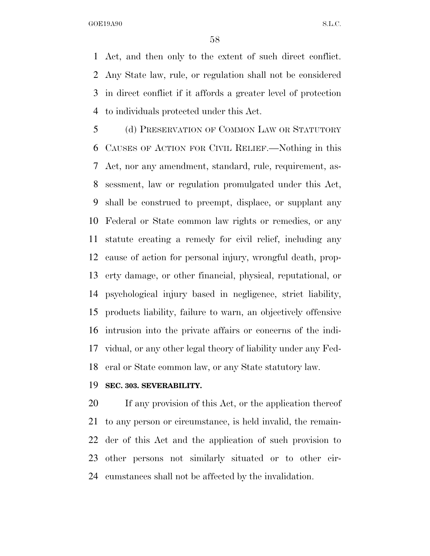Act, and then only to the extent of such direct conflict. Any State law, rule, or regulation shall not be considered in direct conflict if it affords a greater level of protection to individuals protected under this Act.

 (d) PRESERVATION OF COMMON LAW OR STATUTORY CAUSES OF ACTION FOR CIVIL RELIEF.—Nothing in this Act, nor any amendment, standard, rule, requirement, as- sessment, law or regulation promulgated under this Act, shall be construed to preempt, displace, or supplant any Federal or State common law rights or remedies, or any statute creating a remedy for civil relief, including any cause of action for personal injury, wrongful death, prop- erty damage, or other financial, physical, reputational, or psychological injury based in negligence, strict liability, products liability, failure to warn, an objectively offensive intrusion into the private affairs or concerns of the indi- vidual, or any other legal theory of liability under any Fed-eral or State common law, or any State statutory law.

### **SEC. 303. SEVERABILITY.**

 If any provision of this Act, or the application thereof to any person or circumstance, is held invalid, the remain- der of this Act and the application of such provision to other persons not similarly situated or to other cir-cumstances shall not be affected by the invalidation.